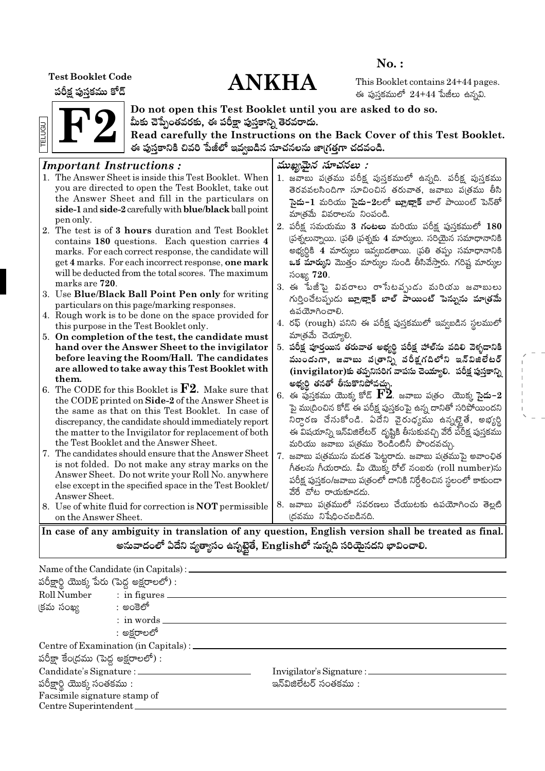**Test Booklet Code** 

పరీక్ష పుస్తకము కోడ్

# **ANKHA**

 $No.$ :

This Booklet contains 24+44 pages. ఈ పుస్తకములో  $24+44$  పేజీలు ఉన్నవి.



Do not open this Test Booklet until you are asked to do so. మీకు చెప్పేంతవరకు, ఈ పరీక్షా పుస్తకాన్ని తెరవరాదు.

Read carefully the Instructions on the Back Cover of this Test Booklet. ఈ పుస్తకానికి చివరి పేజీలో ఇవ్వబడిన సూచనలను జా(గత్తగా చదవండి.

#### ముఖ్యమైన సూచనలు : **Important Instructions:** 1. The Answer Sheet is inside this Test Booklet. When 1. జవాబు ప(తము పరీక్ష పుస్తకములో ఉన్నది. పరీక్ష పుస్తకము vou are directed to open the Test Booklet, take out తెరవవలసిందిగా సూచించిన తరువాత, జవాబు ప(తము తీసి the Answer Sheet and fill in the particulars on సై**దు−1** మరియు సై**దు−2**లలో **బ్లూబ్లాక్** బాల్ పాయింట్ పెన్తో side-1 and side-2 carefully with blue/black ball point మాత్రమే వివరాలను నింపండి. pen only. 2. పరీక్ష సమయము 3 **గంటలు** మరియు పరీక్ష పుస్తకములో 180 2. The test is of 3 hours duration and Test Booklet (పశ్నలున్నాయి. (పతి (పశ్నకు 4 మార్కులు. సరియైన సమాధానానికి contains 180 questions. Each question carries 4 అభ్యర్ధికి 4 మార్కులు ఇవ్వబడతాయి. (పతి తప్పు సమాధానానికి marks. For each correct response, the candidate will get 4 marks. For each incorrect response, one mark ఒక మార్కుని మొత్తం మార్కుల నుండి తీసివేస్తారు. గరిష్ట మార్కుల will be deducted from the total scores. The maximum సంఖ్య 720. marks are 720. 3. ఈ పేజీపై వివరాలు రాసేటవృుడు మరియు జవాబులు 3. Use Blue/Black Ball Point Pen only for writing గుర్తించేటప్పుడు బ్లూ/జ్లాక్ బాల్ పాయింట్ పెన్నును మాత్రమే particulars on this page/marking responses. ఉపయోగించాలి. 4. Rough work is to be done on the space provided for 4. రఫ్ (rough) పనిని ఈ పరీక్ష పుస్తకములో ఇవ్వబడిన స్థలములో this purpose in the Test Booklet only. మాత్రమే చెయ్యాలి. 5. On completion of the test, the candidate must 5. పరీక్ష పూర్తయిన తరువాత అభ్యర్థి పరీక్ష హాల్ ను వదిలి వెళ్ళడానికి hand over the Answer Sheet to the invigilator before leaving the Room/Hall. The candidates ముందుగా, జవాబు వ(తాన్ని పరీక్షగదిలోని ఇన్విజిలేటర్ are allowed to take away this Test Booklet with  $(i$ nvigilator)కు తప్పనిసరిగ వాపసు చెయ్యాలి. పరీక్ష పుస్తకాన్ని them. అభ్యర్థి తనతో తీసుకొనిపోవచ్చు. 6. The CODE for this Booklet is  $F2$ . Make sure that  $6.$  ఈ పుస్తకము యొక్క కోడ్  $\mathbf{F2}$ . జవాబు ప(తం) యొక్క సై**దు**-2 the CODE printed on Side-2 of the Answer Sheet is పై ము(దించిన కోడ్ ఈ పరీక్ష పుస్తకంపై ఉన్న దానితో సరిపోయిందని the same as that on this Test Booklet. In case of నిర్ధారణ చేసుకోండి. ఏదేని వైరుధ్యము ఉన్నట్టైతే, అభ్యర్థి discrepancy, the candidate should immediately report the matter to the Invigilator for replacement of both ఈ విషయాన్ని ఇన్విజిలేటర్ దృష్టికి తీసుకువచ్చి వేరే పరీక్ష పుస్తకము the Test Booklet and the Answer Sheet. మరియు జవాబు పత్రము రెండింటినీ పొందవచ్చు. 7. The candidates should ensure that the Answer Sheet 7. జవాబు ప(త్రమును మడత పెట్టరాదు. జవాబు ప(త్రముపై అవాంఛిత is not folded. Do not make any stray marks on the గీతలను గీయరాదు. మీ యొక్క రోల్ నంబరు (roll number)ను Answer Sheet. Do not write your Roll No. anywhere పరీక్ష పుస్తకం/జవాబు పత్రంలో దానికి నిర్దేశించిన స్థలంలో కాకుండా else except in the specified space in the Test Booklet/ వేరే చోట రాయకూడదు. Answer Sheet. 8. జవాబు పఁ్రతములో సవరణలు చేయుటకు ఉపయోగించు తెల్లటి 8. Use of white fluid for correction is **NOT** permissible ।దవము నిషేధించబడినది. on the Answer Sheet.

In case of any ambiguity in translation of any question, English version shall be treated as final. అనువాదంలో ఏదేని వ్యత్యాసం ఉన్నటైతే, Englishలో నున్నది సరియైనదని భావించాలి.

|                                            | Name of the Candidate (in Capitals) : $\_\_$ |                                 |  |  |  |  |  |  |  |
|--------------------------------------------|----------------------------------------------|---------------------------------|--|--|--|--|--|--|--|
| పరీక్షార్థి యొక్క పేరు (పెద్ద అక్షరాలలో) : |                                              |                                 |  |  |  |  |  |  |  |
| Roll Number : in figures _                 |                                              |                                 |  |  |  |  |  |  |  |
| క్రమ సంఖ్య సాంత్రా అంకెలో                  |                                              |                                 |  |  |  |  |  |  |  |
|                                            | : in words.                                  |                                 |  |  |  |  |  |  |  |
|                                            | : అక్షరాలలో                                  |                                 |  |  |  |  |  |  |  |
|                                            | Centre of Examination (in Capitals) : _____  |                                 |  |  |  |  |  |  |  |
| పరీక్షా కేంద్రము (పెద్ద అక్షరాలలో) :       |                                              |                                 |  |  |  |  |  |  |  |
| Candidate's Signature : _______            |                                              | Invigilator's Signature : _____ |  |  |  |  |  |  |  |
| పరీక్షార్థి యొక్క సంతకము :                 |                                              | ఇన్ఏజిలేటర్ సంతకము :            |  |  |  |  |  |  |  |
| Facsimile signature stamp of               |                                              |                                 |  |  |  |  |  |  |  |
| Centre Superintendent_                     |                                              |                                 |  |  |  |  |  |  |  |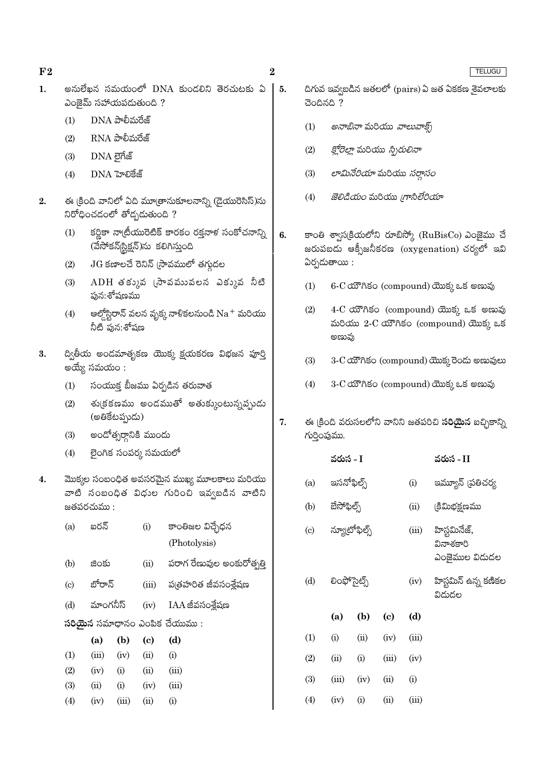అనులేఖన సమయంలో DNA కుండలిని తెరచుటకు ఏ  $\mathbf{1}$ . ఎంజైమ్ సహాయపడుతుంది ?

 $\boldsymbol{2}$ 

5.

6.

 $\overline{7}$ .

 $(d)$ 

- $DNA$  పాలీమరేజ్  $(1)$
- $RNA$  పాలీమరేజ్  $(2)$
- DNA లైగేజ్  $(3)$
- DNA హెలికేజ్  $(4)$
- ఈ (కింది వానిలో ఏది మూ(తానుకూలనాన్ని (డైయురెసిస్)ను  $2.$ .<br>నిరోధించడంలో తోద్పడుతుంది ?
	- కర్ణికా నా(బీయురెటిక్ కారకం రక్తనాళ సంకోచనాన్ని  $(1)$ (వేసోకన్|స్టిక్షన్)ను కలిగిస్తుంది
	- $JG$  కణాలచే రెనిన్ (సావములో తగ్గుదల  $(2)$
	- $ADH$  తక్కువ (సావమువలన ఎక్కువ నీటి  $(3)$ ఫున:శోషణము
	- ఆల్తోస్టిరాన్ వలన వృక్క నాళికలనుండి  $\mathrm{Na}^+$  మరియు  $(4)$ నీటి పున:శోషణ
- ద్వితీయ అండమాతృకణ యొక్క క్షయకరణ విభజన పూర్తి 3. అయ్యే సమయం :
	- సంయుక్త బీజము ఏర్పడిన తరువాత  $(1)$
	- శు(కకణము అండముతో అతుక్కుంటున్నప్పుడు  $(2)$ (అతికేటప్పుడు)
	- అందోత్సర్గానికి ముందు  $(3)$

 $(4)$ 

 $(iv)$ 

- లైంగిక సంపర్క సమయలో  $(4)$
- మొక్కల సంబంధిత అవసరమైన ముఖ్య మూలకాలు మరియు  $4.$ వాటి సంబంధిత విధుల గురించి ఇవ్వబడిన వాటిని జతపరచుము :
	- ఐరన్ కాంతిజల విచ్చేధన  $(a)$  $(i)$ (Photolysis) పరాగ రేణువుల అంకురోత్పత్తి  $(ii)$  $(b)$ జింకు బోరాన్ పుత్రహరిత జీవసంశ్లేషణ  $\left( \mathrm{c}\right)$  $(iii)$ మాంగనీస్  $(d)$  $(iv)$ IAA జీవసంశ్లేషణ  $30$ యేన సమాధానం ఎంపిక చేయుము:  $(d)$  $(a)$  $(b)$  $\left( \mathrm{c}\right)$  $(1)$  $(iii)$  $(iv)$  $(ii)$  $(i)$  $(2)$  $(iv)$  $(i)$  $(ii)$  $(iii)$  $(3)$  $(ii)$  $(i)$  $(iv)$  $(iii)$

 $(ii)$ 

 $(iii)$ 

 $(i)$ 

| చెందినది ?                                                                                                       | దిగువ ఇవ్వబడిన జతలలో (pairs)ఏ జత ఏకకణ శైవలాలకు                                        |       | TELUGU                                                       |  |  |  |  |  |  |  |
|------------------------------------------------------------------------------------------------------------------|---------------------------------------------------------------------------------------|-------|--------------------------------------------------------------|--|--|--|--|--|--|--|
| (1)                                                                                                              | <i>అనాబినా</i> మరియు <i>వాలువాక్స్</i>                                                |       |                                                              |  |  |  |  |  |  |  |
| (2)                                                                                                              | <i>క్లోరెల్లా</i> మరియు <i>స్పిరులినా</i>                                             |       |                                                              |  |  |  |  |  |  |  |
| (3)                                                                                                              | <i>లామినేరియా</i> మరియు <i>సర్తాసం</i>                                                |       |                                                              |  |  |  |  |  |  |  |
| (4)                                                                                                              | <i>జెలిడియం</i> మరియు <i>గ్రాసిలేరియా</i>                                             |       |                                                              |  |  |  |  |  |  |  |
| కాంతి శ్వాస(కియలోని రూబిస్కో (RuBisCo) ఎంజైము చే<br>జరుపబడు ఆక్సీజనీకరణ (oxygenation) చర్యలో ఇవి<br>ఏర్పదుతాయి : |                                                                                       |       |                                                              |  |  |  |  |  |  |  |
| 6-C యౌగికం (compound) యొక్క ఒక అణువు<br>(1)                                                                      |                                                                                       |       |                                                              |  |  |  |  |  |  |  |
| (2)                                                                                                              | 4-C యౌగికం (compound) యొక్క ఒక అణువు<br>మరియు 2-C యౌగికం (compound) యొక్క ఒక<br>అణువు |       |                                                              |  |  |  |  |  |  |  |
| (3)                                                                                                              |                                                                                       |       | 3-C యౌగికం (compound) యొక్క రెండు అణువులు                    |  |  |  |  |  |  |  |
| (4)                                                                                                              | 3-C యౌగికం (compound) యొక్క ఒక అణువు                                                  |       |                                                              |  |  |  |  |  |  |  |
| గుర్తింపుము.                                                                                                     |                                                                                       |       | ఈ క్రింది వరుసలలోని వానిని జతపరిచి <b>సరియైన</b> ఐచ్చికాన్ని |  |  |  |  |  |  |  |
|                                                                                                                  | వరుస - I                                                                              |       | వరుస - II                                                    |  |  |  |  |  |  |  |
| (a)                                                                                                              | ఇసనోఫిల్స్                                                                            | (i)   | ఇమ్యూన్ (పతిచర్య                                             |  |  |  |  |  |  |  |
| (b)                                                                                                              | బేసోఫిల్స్                                                                            | (ii)  | (కిమిభక్షణము                                                 |  |  |  |  |  |  |  |
| $\left( \mathrm{c} \right)$                                                                                      | న్యూటోఫిల్స్                                                                          | (iii) | హిస్టమినేజ్,<br>వినాశకారి<br>ఎంజైముల విడుదల                  |  |  |  |  |  |  |  |

హిస్టమిన్ ఉన్న కణికల  $(iv)$ విడుదల

|     | (a)   | (b)      | $\left( \mathrm{c}\right)$ | (d)   |
|-----|-------|----------|----------------------------|-------|
| (1) | (i)   | (ii)     | (iv)                       | (iii) |
| (2) | (ii)  | (i)      | (iii)                      | (iv)  |
| (3) | (iii) | (iv)     | (ii)                       | (i)   |
| (4) | (iv)  | $_{(1)}$ | (ii)                       | (n)   |

సెట్

ഹെഷ്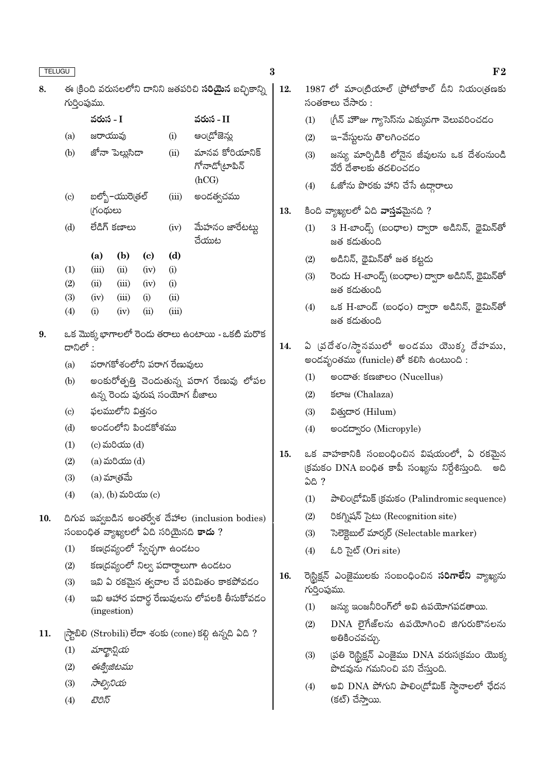8.

9.

| ఈ క్రింది వరుసలలోని దానిని జతపరిచి <b>సరియైన</b> ఐచ్చికాన్ని<br>గుర్తింపుము. |         |                       |                            |       |                                           |  |  |  |  |  |  |  |
|------------------------------------------------------------------------------|---------|-----------------------|----------------------------|-------|-------------------------------------------|--|--|--|--|--|--|--|
|                                                                              |         | వరుస - I<br>వరుస - II |                            |       |                                           |  |  |  |  |  |  |  |
| (a)                                                                          | జరాయువు |                       |                            | (i)   | అం[దోజెన్ను                               |  |  |  |  |  |  |  |
| (b)                                                                          |         | జోనా పెల్లుసిదా       |                            | (ii)  | మానవ కోరియానిక్<br>గోనాడో(టాపిన్<br>(hCG) |  |  |  |  |  |  |  |
| $\left( \mathrm{c} \right)$                                                  | ౹గంథులు | బల్బో–యురె(తల్        |                            | (iii) | అండత్వచము                                 |  |  |  |  |  |  |  |
| (d)                                                                          |         | లేడిగ్ కణాలు          |                            | (iv)  | మేహనం జారేటట్టు<br>చేయుట                  |  |  |  |  |  |  |  |
|                                                                              | (a)     | (b)                   | $\left( \mathrm{e}\right)$ | (d)   |                                           |  |  |  |  |  |  |  |
| (1)                                                                          | (iii)   | (ii)                  | (iv)                       | (i)   |                                           |  |  |  |  |  |  |  |
| (2)                                                                          | (ii)    | (iii)                 | (iv)                       | (i)   |                                           |  |  |  |  |  |  |  |
| (3)                                                                          | (iv)    | (iii)                 | (i)                        | (ii)  |                                           |  |  |  |  |  |  |  |
| (4)                                                                          | (i)     | (iv)                  | (ii)                       | (iii) |                                           |  |  |  |  |  |  |  |
| ఒక మొక్క భాగాలలో రెందు తరాలు ఉంటాయి - ఒకటి మరొక<br>దానిలో :                  |         |                       |                            |       |                                           |  |  |  |  |  |  |  |

- పరాగకోశంలోని పరాగ రేణువులు  $(a)$
- అంకురోత్పత్తి చెందుతున్న పరాగ రేణువు లోపల  $(b)$ ఉన్న రెండు పురుష సంయోగ బీజాలు
- ఫలములోని విత్తనం  $(c)$
- అండంలోని పిండకోశము  $(d)$
- $(c)$  మరియు $(d)$  $(1)$
- $(2)$  $(a)$  మరియు $(d)$
- (a) మా(తమే  $(3)$
- $(a)$ ,  $(b)$  మరియు $(c)$  $(4)$
- దిగువ ఇవ్వబడిన అంతర్వేశ దేహాల (inclusion bodies) 10. సంబంధిత వ్యాఖ్యలలో ఏది సరియైనది <mark>కాదు</mark> ?
	- కణ(దవ్యంలో స్వేచ్చగా ఉండటం  $(1)$
	- కణ(దవ్యంలో నిల్వ పదార్థాలుగా ఉండటం  $(2)$
	- ఇవి ఏ రకమైన త్వచాల చే పరిమితం కాకపోవడం  $(3)$
	- ఇవి ఆహార పదార్థ రేణువులను లోపలకి తీసుకోవడం  $(4)$ (ingestion)
- |స్టాబిలి (Strobili) లేదా శంకు (cone) కల్లి ఉన్నది ఏది ? 11.
	- $(1)$ మార్ఖాన్టియ
	- $(2)$ ఈక్విజిటము
	- $(3)$ సాల్వినియ
	- $(4)$ టెరిస్
- $1987$  లో మాం(టియాల్ (పోటోకాల్ దీని నియం(తణకు సంతకాలు చేసారు :
- $(1)$ గ్రీన్ హౌజు గ్యాసెస్ను ఎక్కువగా వెలువరించడం
- ఇ–వేస్తులను తొలగించడం  $(2)$
- $(3)$ జస్యు మార్చిడికి లోనైన జీవులను ఒక దేశంనుండి వేరే దేశాలకు తదలించడం
- $(4)$ ఓజోను పొరకు హాని చేసే ఉదాౖరాలు

#### కింది వ్యాఖ్యలలో ఏది **వాస్తవ**మైనది ? 13.

- $3$  H-బాండ్స్ (బంధాల) ద్వారా అడినిన్, థైమిన్తో  $(1)$ జత కడుతుంది
- అడినిన్, థైమిన్తో జత కట్టదు  $(2)$
- రెండు H-బాండ్స్ (బంధాల) ద్వారా అడినిన్, థైమిన్**తో**  $(3)$ జత కడుతుంది
- ఒక H-బాండ్ (బంధం) ద్వారా అడినిన్, థైమిన్**తో**  $(4)$ జత కడుతుంది

#### ఏ (వదేశం/స్థానములో అండము యొక్క దేహము, 14. అండవృంతము (funicle) తో కలిసి ఉంటుంది :

- $(1)$ මංයාඡ: ජඝෂාපං (Nucellus)
- $(2)$ ජලක (Chalaza)
- $(3)$ విత్తుదార (Hilum)
- అండద్వారం (Micropyle)  $(4)$
- ఒక వాహకానికి సంబంధించిన విషయంలో, ఏ రకమైన 15. (క్రమకం DNA బంధిత కాపీ సంఖ్యను నిర్దేశిస్తుంది. అది **ఏది?** 
	- $(1)$ పాలిం(డోమిక్ (కమకం (Palindromic sequence)
	- $(2)$ రికగ్నిషన్ సైటు (Recognition site)
	- సెలెక్టెబుల్ మార్కర్ (Selectable marker)  $(3)$
	- ఓరి సైట్ (Ori site)  $(4)$
- 16. రె|స్టిక్షన్ ఎంజైములకు సంబంధించిన **సరిగాలేని** వ్యాఖ్యను గురింపుము.
	- జన్యు ఇంజనీరింగ్లో అవి ఉపయోగపడతాయి.  $(1)$
	- $DNA$  లైగేజ్లను ఉపయోగించి జిగురుకొనలను  $(2)$ అతికించవచ్చు.
	- $(3)$ (పతి రె|స్టిక్షన్ ఎంజైము DNA వరుస(కమం యొక్క పొడవును గమనించి పని చేస్తుంది.
	- అవి DNA పోగుని పాలిం(డోమిక్ స్థానాలలో ఛేదన  $(4)$ (కట్) చేస్తాయి.

 $F<sub>2</sub>$ 

12.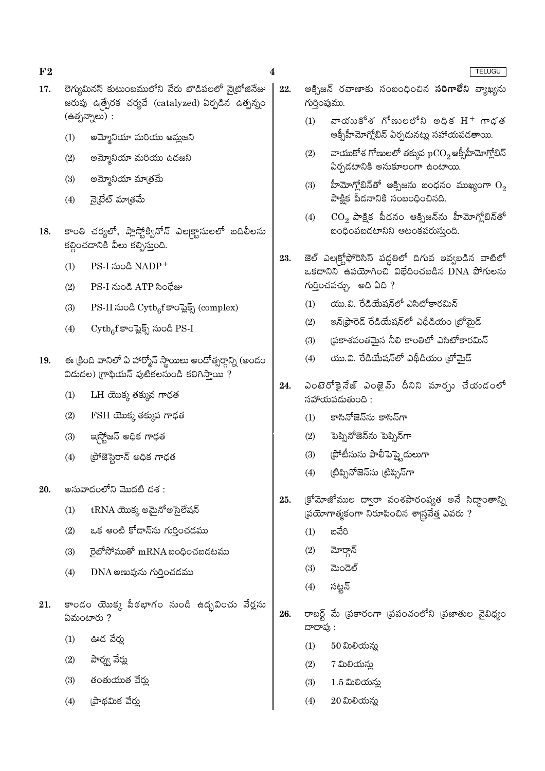- లెగ్యుమినస్ కుటుంబములోని వేరు బొడిపలలో న్రైటోజినేజు  $17.$ జరుపు ఉత్పేరక చర్యచే (catalyzed) ఏర్పడిన ఉత్పన్నం  $(e^{i\delta})$ న్నాలు):
	- అమ్మోనియా మరియు ఆమ్లజని  $(1)$
	- అమ్మోనియా మరియు ఉదజని  $(2)$
	- అమ్మోనియా మాత్రమ<mark>ే</mark>  $(3)$
	- నైటేట్ మాతమే  $(4)$
- కాంతి చర్యలో, ప్లాస్టోక్వినోన్ ఎల్కక్టానులలో బదిలీలను 18. కల్గించడానికి వీలు కల్పిస్తుంది.
	- PS-I నుండి NADP<sup>+</sup>  $(1)$
	- PS-I నుండి ATP సిందేజు  $(2)$
	- PS-II నుండి Cytb<sub>6</sub>f కాంప్లెక్స్ (complex)  $(3)$
	- $\mathrm{Cymb}_6\mathrm{f}$  కాంప్లెక్స్ నుండి PS-I  $(4)$
- ఈ క్రింది వానిలో ఏ హార్మోన్ స్థాయిలు అందోత్సర్గాన్ని (అందం 19.  $25$ డుదల) గ్రాఫియన్ పుటికలనుండి కలిగిస్తాయి?
	- $LH$  యొక్క తక్కువ గాఢత  $(1)$
	- $(2)$  $FSH$  యొక్క తక్కువ గాఢత
	- ఇస్త్రోజన్ అధిక గాఢత  $(3)$
	- (పోజెస్టెరాన్ అధిక గాఢత  $(4)$
- అనువాదంలోని మొదటి దశ :  $20^{\circ}$ 
	- $tRNA$  యొక్క అమైనోఅసైలేషన్  $(1)$
	- ఒక ఆంటి కోడాన్ను గుర్తించడము  $(2)$
	- $\vec{p}$ හි් කිරීමක m $\text{RNA}$  හංදිංජනයි. තිබ  $(3)$
	- $(4)$  $DNA$  అణువును గుర్తించడము
- కాండం యొక్క పీఠభాగం నుండి ఉదృవించు వేర్లను 21.  $2500$ టారు?
	- ఊడ వేరు  $(1)$
	- పార్శ్వ వేర్డు  $(2)$
	- తంతుయుత వేర్తు  $(3)$
	- ।పాథమిక వేర్తు  $(4)$
- 22. ఆక్సిజన్ రవాణాకు సంబంధించిన **సరిగాలేని** వ్యాఖ్యను గుర్తింపుము.
	- వాయుకోశ గోణులలోని అధిక $H^+$  గాడత  $(1)$ ఆక్సీహీమోగ్లోబిన్ ఏర్పదునట్లు సహాయపడతాయి.
	- వాయుకోశ గోణులలో తక్కువ  $\mathrm{pCO}_2$ ఆక్సీహీమోగ్లోబిన్  $(2)$ ఏర్పడటానికి అనుకూలంగా ఉంటాయి.
	- హీమోగ్శోబిన్తో ఆక్సిజను బంధనం ముఖ్యంగా  $\mathrm{O}_2$  $(3)$ పాక్షిక పీడనానికి సంబంధించినది.
	- $\mathrm{CO}_2$  పాక్షిక పీడనం ఆక్సిజన్ను హీమోగ్లోబిన్తో  $(4)$ బంధింపబడటానిని ఆటంకపరుస్తుంది.
- జెల్ ఎల<sub>(</sub>క్టోఫోరెసిస్ పద్దతిలో దిగువ ఇవ్వబడిన వాటిలో 23.  $\alpha$ కదానిని ఉపయోగించి విభేదించబడిన DNA పోగులను  $\kappa$ రించవచ్చు. అది ఏది ?
	- యు.వి. రేడియేషన్లో ఎసిటోకారమిన్  $(1)$
	- ఇన్(ఫ్రారెడ్ రేడియేషన్లో ఎథీడియం (బోమైడ్  $(2)$
	- స్రకాశవంతమైన నీలి కాంతిలో ఎసిటోకారమిన్  $(3)$
	- యు.వి. రేడియేషన్లో ఎథీడియం (బోమైడ్  $(4)$
- ఎంటెరోకైనేజ్ ఎంజైమ్ దీనిని మార్చు చేయడంలో 24. సహాయపడుతుంది :
	- కాసినోజెన్ను కాసిన్గా  $(1)$
	- పెప్పినోజెన్ను పెప్పిన్గా  $(2)$
	- (పోటీనును పాలీపెప్త్టెడులుగా  $(3)$
	- (టిప్పినోజెన్ను (టిప్పిన్గా  $(4)$
- (కోమోజోముల ద్వారా వంశపారంపృత అనే సిద్ధాంతాన్ని 25. (పయోగాత్మకంగా నిరూపించిన శాస్త్రవేత్త ఎవరు ?
	- బవేరి  $(1)$
	- $(2)$ మోర్గాన్
	- $(3)$ మెండెల్
	- $(4)$ సట్టన్
- 26. రాబర్ట్ మే (పకారంగా (పపంచంలోని (పజాతుల వైవిధ్యం దాదాపు :
	- $(1)$  $50$  మిలియన్లు
	- $(2)$ 7 మిలియన్న
	- $(3)$  $1.5$  మిలియను
	- $(4)$  $20$  మిలియన్లు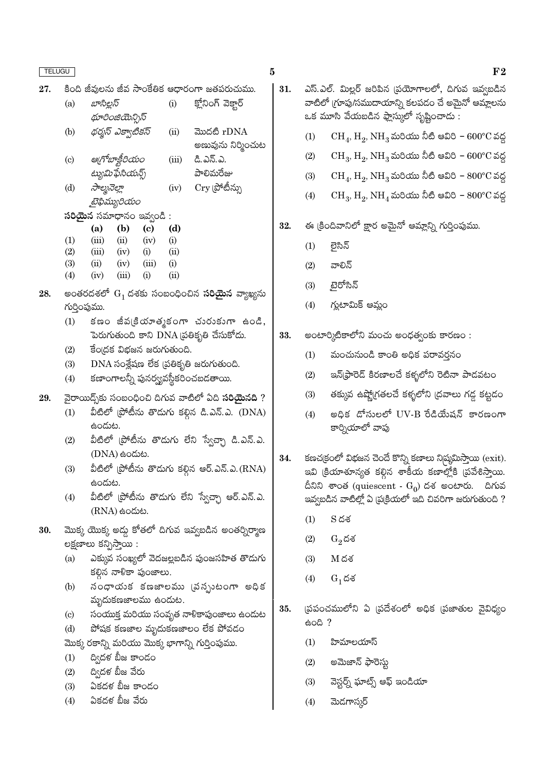| ×<br>×<br>w<br>۰. |
|-------------------|
|-------------------|

 $(d)$ 

కింది జీవులను జీవ సాంకేతిక ఆధారంగా జతపరుచుము. 27.

| (a)                       | బాసిల్లస్         | (i)        | క్లోనింగ్ వెక్టార్ |
|---------------------------|-------------------|------------|--------------------|
|                           | థూరింజియెన్సిస్   |            |                    |
| (b)                       | థర్మస్ ఎక్వాటికస్ | $\rm (ii)$ | మొదటి rDNA         |
|                           |                   |            | అణువును నిర్మించుట |
| $\left( \text{c} \right)$ | ఆగోబాక్టీరియం     | (iii)      | డి.ఎన్.ఎ.          |

ట్యుమిఫేసియన్స్ పాలిమరేజు  $Cry$  (పోటీన్ను సాల్మనెల్లా  $(iv)$ 

రైఫిమ్యరియం  $\delta$ రియెన సమాధానం ఇవ్వండి:

| <u>. </u>         |       |       | പ        |            |
|-------------------|-------|-------|----------|------------|
|                   | (a)   | (b)   | (c)      | (d         |
| $\left(1\right)$  | (iii) | (ii)  | (iv)     | (i)        |
| (2)               | (iii) | (iv)  | (i)      | (ii)       |
| (3)               | (ii)  | (iv)  | (iii)    | (i)        |
| $\left( 4\right)$ | (iv)  | (iii) | $\rm(i)$ | $\rm (ii)$ |

- అంతరదశలో  $G_1$  దశకు సంబంధించిన **సరియైన** వ్యాఖ్యను 28. గుర్తింపుము.
	- కణం జీవ(కియాత్మకంగా చురుకుగా ఉండి,  $(1)$ పెరుగుతుంది కాని  $\overline{DNA}$  ప్రతికృతి చేసుకోదు.
	- $\overline{5}$ o(దక విభజన జరుగుతుంది.  $(2)$
	- $DNA$  సంశ్లేషణ లేక (పతికృతి జరుగుతుంది.  $(3)$
	- కణాంగాలన్నీ పునర్య్యవస్థీకరించబడతాయి.  $(4)$
- వైరాయిద్స్ కు సంబంధించి దిగువ వాటిలో ఏది సరియైనది ? 29.
	- $\mathring{\mathring{E}}$ టిలో (పోటీసు తొడుగు కల్గిన డి.ఎన్.ఎ. (DNA)  $(1)$ ఉందుట.
	- వీటిలో (పోటీను తొడుగు లేని స్వేచ్చా డి.ఎన్.ఎ.  $(2)$ (DNA) සංයාහ.
	- వీటిలో (పోటీను తొడుగు కల్గిన ఆర్.ఎన్.ఎ. $\rm (RNA)$  $(3)$ ఉందుట.
	- వీటిలో (పోటీను తొడుగు లేని స్వేచ్చా ఆర్.ఎన్.ఎ.  $(4)$  $(RNA)$  ఉండుట.
- మొక్క యొక్క అడ్డు కోతలో దిగువ ఇవ్వబడిన అంతర్నిర్మాణ 30. లక్షణాలు కన్పిస్తాయి :
	- ఎక్కువ సంఖ్యలో వెదజల్లబడిన పుంజసహిత తొడుగు  $(a)$ కల్గిన నాళికా పుంజాలు.
	- నంధాయక కణజాలము (వన్పుటంగా అధిక  $(b)$ మృదుకణజాలము ఉందుట.
	- సంయుక్త మరియు సంవృత నాళికాపుంజాలు ఉందుట  $(c)$
	- పోషక కణజాల మృదుకణజాలం లేక పోవడం  $(d)$
	- మొక్క రకాన్ని మరియు మొక్క భాగాన్ని గుర్తింపుము.
	- ద్విదళ బీజ కాండం  $(1)$
	- ద్విదళ బీజ వేరు  $(2)$
	- ఏకదళ బీజ కాండం  $(3)$
	- ఏకదళ బీజ వేరు  $(4)$
- ఎస్.ఎల్. మిల్లర్ జరిపిన (పయోగాలలో, దిగువ ఇవ్వబడిన 31. వాటిలో (గూపు/సముదాయాన్ని కలపడం చే అమైనో ఆమ్లాలను ఒక మూసి వేయబడిన ఫ్లాస్కులో సృష్టించాడు :
	- $\rm CH_4$ ,  $\rm H_2$ ,  $\rm NH_3$  మరియు నీటి ఆవిరి  $600^{\circ}\rm C$  వద్ద  $(1)$
	- $CH_3$ ,  $H_2$ ,  $NH_3$  మరియు నీటి ఆవిరి  $600^{\circ}$ C వద్ద  $(2)$
	- $CH_4$ ,  $H_2$ ,  $NH_3$  మరియు నీటి ఆవిరి  $800^{\circ}$ C వద్ద  $(3)$
	- $(4)$  $CH_3$ ,  $H_2$ ,  $NH_4$  మరియు నీటి ఆవిరి –  $800^{\circ}$ C వద్ద
- ఈ క్రిందివానిలో క్షార అమైనో ఆమ్లాన్ని గుర్తింపుము. 32.
	- లెసిన్  $(1)$
	- $(2)$ వాలిన్
	- ్టైరోసిన్  $(3)$
	- గ్లుటామిక్ ఆమ్లం  $(4)$
- అంటార్కిటికాలోని మంచు అంధత్వంకు కారణం : 33.
	- మంచునుండి కాంతి అధిక పరావర్తనం  $(1)$
	- ఇన్(ఫ్రారెడ్ కిరణాలచే కళ్ళలోని రెటినా పాడవటం  $(2)$
	- తక్కువ ఉష్ణో(గతలచే కళ్ళలోని (దవాలు గడ్డ కట్టడం  $(3)$
	- అధిక డోసులలో UV-B రేడియేషన్ కారణంగా  $(4)$ కార్నియాలో వాపు
- కణచ(కంలో విభజన చెందే కొన్ని కణాలు నిస్మమిస్తాయి ( $\mathrm{exit}$ ). 34. ఇవి (కియాశూన్యత కల్గిన శాకీయ కణాల్లోకి (పవేశిస్తాయి. దీనిని శాంత (quiescent -  $\mathrm{G}_0$ ) దశ అంటారు. దిగువ ఇవ్వబడిన వాటిల్లో ఏ ప్రక్రియలో ఇది చివరిగా జరుగుతుంది ?
	- $(1)$  $S<sub>0</sub>$ దశ
	- $(2)$  $G_2$ దశ
	- $(3)$  $M$ దశ
	- $(4)$  $G_1$ దశ
- (ప్రపంచములోని ఏ (ప్రదేశంలో అధిక (పజాతుల వైవిధ్యం 35.  $600?$ 
	- $(1)$ హిమాలయాస్
	- అమెజాన్ ఫారెస్తు  $(2)$
	- వెస్టర్న్ ఘాట్స్ ఆఫ్ ఇండియా  $(3)$
	- మెదగాస్మర్  $(4)$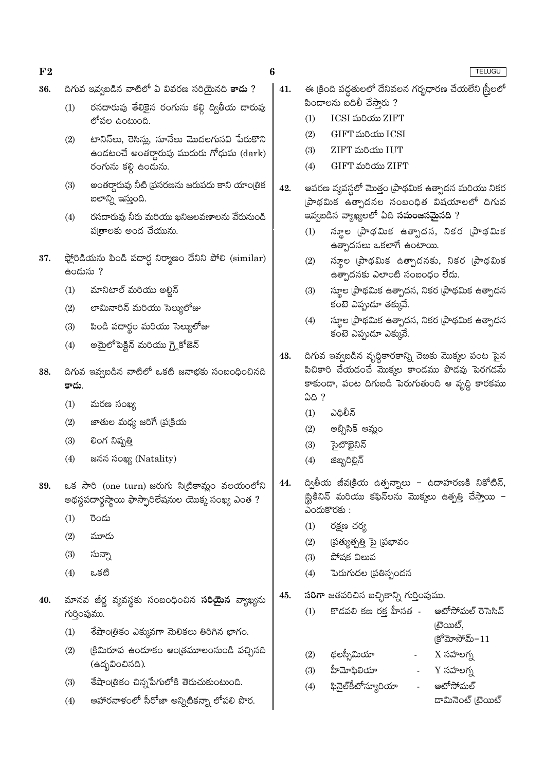- దిగువ ఇవ్వబడిన వాటిలో ఏ వివరణ సరియైనది <mark>కాదు</mark> ? 36.
	- రసదారువు తేలికైన రంగును కల్గి ద్వితీయ దారువు  $(1)$ లోపల ఉంటుంది.
	- టానిన్అు, రెసిన్లు, నూనేలు మొదలగునవి పేరుకొని  $(2)$ ఉండటంచే అంతర్ధారువు ముదురు గోధుమ (dark) రంగును కల్గి ఉండును.
	- అంతర్ధారువు నీటి (పసరణను జరుపదు కాని యాంట్రిక  $(3)$ బలాన్ని ఇస్తుంది.
	- రసదారువు నీరు మరియు ఖనిజలవణాలను వేరునుండి  $(4)$ ప్రతాలకు అంద చేయును.
- 37. ఫ్లోరిడియను పిండి పదార్థ నిర్మాణం దేనిని పోలి (similar) ఉందును ?
	- మానిటాల్ మరియు అల్జిన్  $(1)$
	- $(2)$ లామినారిన్ మరియు సెల్యులోజు
	- పిండి పదార్థం మరియు సెల్యులోజు  $(3)$
	- అమైలోపెక్టిన్ మరియు గ్లైకోజెన్  $(4)$
- దిగువ ఇవ్వబడిన వాటిలో ఒకటి జనాభకు సంబంధించినది 38. కాదు.
	- మరణ సంఖ్య  $(1)$
	- జాతుల మధ్య జరిగే (ప్రక్రియ  $(2)$
	- లింగ నిష్పత్తి  $(3)$
	- జనన సంఖ్య (Natality)  $(4)$
- ఒక సారి (one turn) జరుగు సిట్రికామ్లం వలయంలోని 39. అథస్థపదార్థస్థాయి ఫాస్ఫారిలేషనుల యొక్క సంఖ్య ఎంత ?
	- $(1)$ రెండు
	- $(2)$ మూడు
	- $(3)$ సున్నా
	- $(4)$ ఒకటి
- 40. మానవ జీర్ణ వ్యవస్థకు సంబంధించిన **సరియైన** వ్యాఖ్యను గుర్తింపుము.
	- $(1)$ శేషాంత్రికం ఎక్కువగా మెలికలు తిరిగిన భాగం.
	- క్రిమిరూప ఉందూకం ఆంత్రమూలంనుండి వచ్చినది  $(2)$ (ఉద్భవించినది).
	- శేషాంత్రికం చిన్నపేగులోకి తెరుచుకుంటుంది.  $(3)$
	- ఆహారనాళంలో సీరోజా అన్నిటికన్నా లోపలి పొర.  $(4)$
- ఈ క్రింది పద్ధతులలో దేనివలన గర్భధారణ చేయలేని స్రీలలో 41. .<br>పిండాలను బదిలీ చేసారు ?
	- $(1)$ **ICSI** మరియు ZIFT
	- $(2)$ GIFT మరియు ICSI
	- $(3)$ **ZIFT మరియు IUT**
	- $(4)$ GIFT మరియు ZIFT
- ఆవరణ వ్యవస్థలో మొత్తం (పాథమిక ఉత్పాదన మరియు నికర 42. ్రసాథమిక ఉత్పాదనల సంబంధిత విషయాలలో ది<mark>గు</mark>వ ఇవ్వబడిన వ్యాఖ్యలలో ఏది **సమంజసమైనది** ?
	- స్థూల (పాథమిక ఉత్పాదన, నికర (పాథమిక  $(1)$ ఉత్పాదనలు ఒకలాగే ఉంటాయి.
	- స్థూల (పాథమిక ఉత్పాదనకు, నికర (పాథమిక  $(2)$ ఉత్పాదనకు ఎలాంటి సంబంధం లేదు.
	- స్థూల (పాథమిక ఉత్పాదన, నికర (పాథమిక ఉత్పాదన  $(3)$ కంటె ఎప్పుడూ తక్కువే.
	- స్థూల (పాథమిక ఉత్పాదన, నికర (పాథమిక ఉత్పాదన  $(4)$ కంటె ఎప్పుడూ ఎక్కువే.
- దిగువ ఇవ్వబడిన వృద్ధికారకాన్ని చెఱకు మొక్కల పంట పైన 43. పిచికారి చేయడంచే మొక్కల కాండము పొడవు పెరగడమే కాకుండా, పంట దిగుబడి పెరుగుతుంది ఆ వృద్ధి కారకము ఏది ?
	- ఎదిలీన్  $(1)$
	- అబ్సిసిక్ ఆమ్లం  $(2)$
	- సైటాఖైనిన్  $(3)$
	- జిబ్బరిల్లిన్  $(4)$
- ద్వితీయ జీవ(కియ ఉత్పన్నాలు ఉదాహరణకి నికోటిన్, 44. |స్టికినిన్ మరియు కఫిన్లను మొక్కలు ఉత్పత్తి చేస్తాయి –  $\sim$ ందుకొరకు:
	- $(1)$ రక్షణ చర్య
	- $(2)$ (పత్యుత్పత్తి పై (పభావం
	- $(3)$ పోపక విలువ
	- పెరుగుదల (పతిస్పందన  $(4)$
- సరిగా జతపరిచిన ఐచ్చికాన్ని గుర్తింపుము. 45.
	- కొడవలి కణ రక్త హీనత -ఆటోసోమల్ రెసెసివ్  $(1)$ (టెయిట్,  $|S^6$ మోసోమ్ $-11$
	- థలస్సీమియా  $(2)$  $X \times \mathcal{S}$  సహలగ్న
	- $Y$  సహలగృ హీమోఫిలియా  $(3)$
	- ఫినైల్5ీటోన్యూరియా ఆటోసోమల్  $(4)$ డామినెంట్ (టెయిట్

TELUGU

6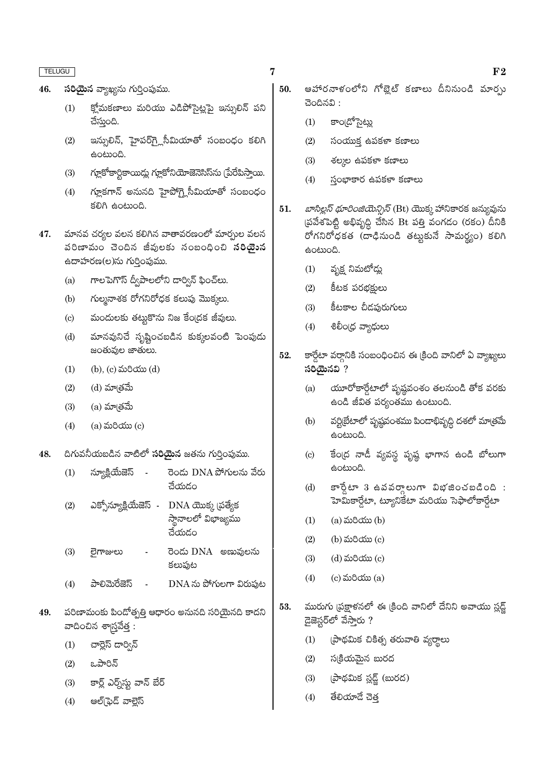- 46. సరియైన వ్యాఖ్యను గుర్తింపుము.
	- క్లో మకణాలు మరియు ఎడిపోసైట్లపై ఇన్సులిన్ పని  $(1)$ చేస్తుంది.
	- ఇన్సులిన్, హైపర్గ్లోసీమియాతో సంబంధం కలిగి  $(2)$ ఉంటుంది.
	- గ్లూకోకార్టికాయిడ్లు గ్లూకోనియోజెనెసిస్ను (పేరేపిస్తాయి.  $(3)$
	- గ్లూకగాన్ అనునది హైపోగ్కైసీమియాతో సంబంధం  $(4)$ కలిగి ఉంటుంది.
- మానవ చర్యల వలన కలిగిన వాతావరణంలో మార్చుల వలన 47. వరిణామం చెందిన జీవులకు నంబంధించి **సరియైున** ఉదాహరణ(ల)ను గుర్తింపుము.
	- గాలపెగొస్ ద్వీపాలలోని డార్విన్ ఫించ్లు.  $(a)$
	- గుల్మనాశక రోగనిరోధక కలుపు మొక్కలు.  $(b)$
	- మందులకు తట్టుకొను నిజ కేంద్రక జీవులు.  $(c)$
	- మానవునిచే సృష్టించబడిన కుక్కలవంటి పెంపుడు  $(d)$ జంతువుల జాతులు.
	- (b), (c) మరియు (d)  $(1)$
	- (d) మాత్రమే  $(2)$
	- $(3)$ (a) మా@తమే
	- $(a)$  మరియు $(c)$  $(4)$
- దిగువనీయబడిన వాటిలో సరియైన జతను గుర్తింపుము. 48.
	- న్యూక్లియేజెస్ రెండు DNA పోగులను వేరు  $(1)$ చేయడం
	- ఎక్సోన్యూక్లియేజెస్ -DNA యొక్క (పత్యేక  $(2)$ ,<br>స్థానాలలో విభాజ్యము చేయడం
	- రెండు DNA అణువులను  $(3)$ లైగాజులు కలుపుట
	- పాలిమెరేజెస్  $DNA \approx$  పోగులగా విరుపుట  $(4)$  $\sim$
- పరిణామంకు పిండోత్పత్తి ఆధారం అనునది సరియైనది కాదని 49. వాదించిన శాగ్రువేత్త :
	- $(1)$ చార్లెస్ డార్విన్
	- ఒపారిన్  $(2)$
	- $(3)$ కార్ల్ ఎర్న్స్ట్లు వాన్ బేర్
	- ఆల్(ఫెడ్ వాల్లెస్  $(4)$
- ఆహారనాళంలోని గోబ్లైట్ కణాలు దీనినుండి మార్చు 50.  $300000$ :
	- కాం[డోసైట్లు  $(1)$
	- $(2)$ సంయుక్త ఉపకళా కణాలు
	- శల్మల ఉపకళా కణాలు  $(3)$
	- స్తంభాకార ఉపకళా కణాలు  $(4)$
- *బాసిల్లస్ థూరింజియెన్సిస్* (Bt) యొక్క హానికారక జన్యువును  $51.$ (పవేశపెట్టి అభివృద్ధి చేసిన Bt పత్తి వంగడం (రకం) దీనికి రోగనిరోధకత (దాధినుండి తట్టుకునే సామర్థ్యం) కలిగి ఉంటుంది.
	- వృక్ష నిమటోడ్లు  $(1)$
	- $(2)$ కీటక పరభక్షులు
	- కీటకాల చీడపురుగులు  $(3)$
	- $(4)$ శిలీం(ధ వ్యాధులు
- కార్డేటా వర్తానికి సంబంధించిన ఈ క్రింది వానిలో ఏ వ్యాఖ్యలు 52.  $\delta$ විශුධි කි
	- యూరోకార్డేటాలో పృష్ఠవంశం తలనుండి తోక వరకు  $(a)$ ఉండి జీవిత పర్యంతము ఉంటుంది.
	- వర్టిటేటాలో పృష్ణవంశము పిండాభివృద్ధి దశలో మాత్రమే  $(b)$ ఉంటుంది.
	- కేంద్ర నాడీ వ్యవస్థ పృష్ణ భాగాన ఉండి బోలుగా  $(c)$ ఉంటుంది.
	- $\overline{\mathfrak{s}}$ ేలా 3 ఉవవర్తాలుగా విభజించబడింది :  $(d)$ హెమికార్డేటా, ట్యూనికేటా మరియు సెఫాలోకార్డేటా
	- (a) మరియు (b)  $(1)$
	- (b) మరియు (c)  $(2)$
	- $(3)$ (d) మరియు (c)
	- $(c)$  మరియు $(a)$  $(4)$
- మురుగు (ప్రక్షాళనలో ఈ క్రింది వానిలో దేనిని అవాయు స్లడ్ 53. డైజెస్టర్**లో వేస్తారు** ?
	- (పాథమిక చికిత్స తరువాతి వ్యర్థాలు  $(1)$
	- $(2)$ సక్రియమైన బురద
	- (పాథమిక స్లడ్జ్ (బురద)  $(3)$
	- $(4)$ తేలియాదే చెత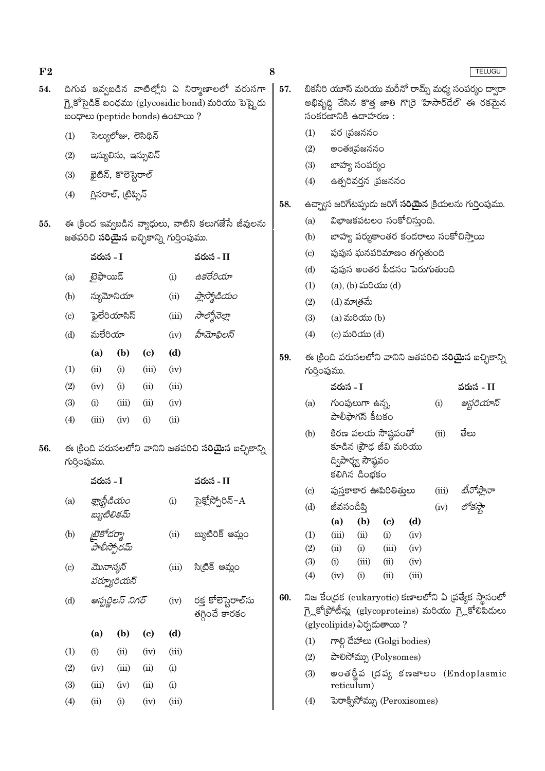|     |                                              | aoගෙන (peptide bonds) සංහං ?                                 |                      |       |       | గ్లై కొసైడిక్ బంధము (glycosidic bond) మరియు పెప్టైదు |     |                 | అభివృద్ధి చెసిన కొత్త జాళి<br>సంకరణానికి ఉదాహరణ        |                    |              |
|-----|----------------------------------------------|--------------------------------------------------------------|----------------------|-------|-------|------------------------------------------------------|-----|-----------------|--------------------------------------------------------|--------------------|--------------|
|     | (1)                                          |                                                              | సెల్యులోజు, లెసిథిన్ |       |       |                                                      |     | (1)             |                                                        | పర (పజననం          |              |
|     | (2)                                          |                                                              |                      |       |       |                                                      |     | (2)             |                                                        | అంతః[పజననం         |              |
|     | ఇన్యులిను, ఇన్సులిన్<br>ఖైటిన్, కొలెస్టెరాల్ |                                                              |                      |       |       |                                                      |     | (3)             |                                                        | బాహ్య సంపర్మం      |              |
|     | (3)                                          |                                                              |                      |       |       |                                                      |     | (4)             |                                                        | ఉత్పరివర్తన (పజన   |              |
|     | (4)                                          |                                                              | గ్లిసరాల్, (టిప్పిన్ |       |       |                                                      | 58. |                 | ఉచ్చా్నస జరిగేటప్పుడు జరి                              |                    |              |
| 55. |                                              |                                                              |                      |       |       | ఈ క్రింద ఇవ్వబడిన వ్యాధులు, వాటిని కలుగజేసే జీవులను  |     | (a)             |                                                        | విభాజకపటలం స       |              |
|     |                                              | జతపరిచి <b>సరియైన</b> ఐచ్చికాన్ని గుర్తింపుము.               |                      |       |       |                                                      |     | (b)             |                                                        | బాహ్య పర్శుకాంత    |              |
|     |                                              | వరుస - I                                                     |                      |       |       | వరుస - II                                            |     | (c)             |                                                        | పుపుస ఘనపరిమా      |              |
|     | (a)                                          | టైఫాయిడ్                                                     |                      |       | (i)   | ఉకరేరియా                                             |     | (d)             |                                                        | పుపుస అంతర పీడ     |              |
|     |                                              |                                                              |                      |       |       |                                                      |     | (1)             |                                                        | (a), (b) మరియు (   |              |
|     | (b)                                          |                                                              | న్యుమోనియా           |       | (ii)  | ప్లాస్మోడియం                                         |     | (2)             |                                                        | (d) మాత్రమే        |              |
|     | (c)                                          |                                                              | ఫైలేరియాసిస్         |       | (iii) | సాల్మోనెల్లా                                         |     | (3)             |                                                        | $(a)$ మరియు $(b)$  |              |
|     | (d)                                          | మలేరియా                                                      |                      |       | (iv)  | హీమోఫిలస్                                            |     | (4)             |                                                        | $(c)$ మరియు $(d)$  |              |
|     |                                              | (a)                                                          | (b)                  | (c)   | (d)   |                                                      | 59. |                 | ఈ క్రింది వరుసలలోని వా                                 |                    |              |
|     | (1)                                          | (ii)                                                         | (i)                  | (iii) | (iv)  |                                                      |     |                 | గుర్తింపుము.                                           |                    |              |
|     | (2)                                          | (iv)                                                         | (i)                  | (ii)  | (iii) |                                                      |     |                 | వరుస - I                                               |                    |              |
|     | (3)                                          | (i)                                                          | (iii)                | (ii)  | (iv)  |                                                      |     | (a)             |                                                        | గుంపులుగా ఉన్న,    |              |
|     | (4)                                          | (iii)                                                        | (iv)                 | (i)   | (ii)  |                                                      |     |                 |                                                        | పాలీఫాగస్ కీటకం    |              |
|     |                                              |                                                              |                      |       |       |                                                      |     | (b)             |                                                        | కిరణ వలయ సౌష్ఠ     |              |
| 56. |                                              | ఈ క్రింది వరుసలలోని వానిని జతపరిచి <b>సరియైన</b> ఐచ్చికాన్ని |                      |       |       |                                                      |     | కూడిన (పౌఢ జీవి |                                                        |                    |              |
|     |                                              | గుర్తింపుము.                                                 |                      |       |       |                                                      |     |                 | ద్విపార్శ్వ సౌష్ఠవం<br>కలిగిన డింభకం                   |                    |              |
|     |                                              | వరుస - I                                                     |                      |       |       | వరుస - II                                            |     | (c)             |                                                        | పుస్తకాకార ఊపిరిశ  |              |
|     | (a)                                          |                                                              | క్లాధ్టీడియం         |       | (i)   | సైక్లోస్పోరిన్– $\rm A$                              |     | (d)             | జీవసందీపి                                              |                    |              |
|     |                                              |                                                              | బ్యుటిలికమ్          |       |       |                                                      |     |                 | (a)                                                    | (b)                | (c)          |
|     | (b)                                          | <i>టైకోడర్మా</i>                                             |                      |       | (ii)  | బ్యుటిరిక్ ఆమ్లం                                     |     | (1)             | (iii)                                                  | (ii)               | (i)          |
|     |                                              |                                                              | హేలీస్పోరమ్          |       |       |                                                      |     | (2)             | (ii)                                                   | (i)                | (iii)        |
|     | $\left( \mathrm{c}\right)$                   | మొనాస్కస్                                                    |                      |       | (iii) | సి(టిక్ ఆమ్లం                                        |     | (3)<br>(4)      | (i)<br>(iv)                                            | (iii)<br>(i)       | (ii)<br>(ii) |
|     |                                              |                                                              | పర్భూరియస్           |       |       |                                                      |     |                 |                                                        |                    |              |
|     | (d)                                          |                                                              | ఆస్పర్ణిలస్ నిగర్    |       | (iv)  | రక్త కోలెస్టెరాల్సు                                  | 60. |                 | నిజ కేంద్రక (eukaryoti                                 |                    |              |
|     |                                              |                                                              |                      |       |       | తగ్గించే కారకం                                       |     |                 | గ్లై కోట్రోటీన్లు (glycopro<br>(glycolipids) ఏర్పదుతాం |                    |              |
|     |                                              | (a)                                                          | (b)                  | (c)   | (d)   |                                                      |     | (1)             |                                                        | గాల్గి దేహాలు (Gol |              |
|     | (1)                                          | (i)                                                          | (ii)                 | (iv)  | (iii) |                                                      |     | (2)             |                                                        | పాలిసోమ్ను (Poly   |              |
|     | (2)                                          | (iv)                                                         | (iii)                | (ii)  | (i)   |                                                      |     | (3)             |                                                        | అంతర్జీవ (దవ్య     |              |
|     |                                              |                                                              |                      |       |       |                                                      |     |                 |                                                        |                    |              |

- తి గొర్రె హిసార్డేల్' ఈ రకమైన
	- .<br>నం
	- గే **సరియైన** క్రియలను గుర్తింపుము.
		- ంకోచిస్తుంది.
		- ర కండరాలు సంకోచిస్తాయి
		- .<br>ణం తగ్గుతుంది
		- క<mark>నం పెరుగుతుం</mark>ది
		- $(d)$
	- నిని జతపరిచి **సరియైన** ఐచ్చికాన్ని

|                                                      | వరుస - I                                                                                            |                                    |                            | వరుస - II |            |                                                       |  |  |  |  |
|------------------------------------------------------|-----------------------------------------------------------------------------------------------------|------------------------------------|----------------------------|-----------|------------|-------------------------------------------------------|--|--|--|--|
| (a)                                                  |                                                                                                     | గుంపులుగా ఉన్న,<br>పాలీఫాగస్ కీటకం |                            | (i)       | ఆస్టరియాస్ |                                                       |  |  |  |  |
| (b)                                                  | తేలు<br>కిరణ వలయ సౌష్ఠవంతో<br>(ii)<br>కూడిన (పౌఢ జీవి మరియు<br>ద్విపార్శ్వ సౌష్ఠవం<br>కలిగిన డింభకం |                                    |                            |           |            |                                                       |  |  |  |  |
| $\left( \mathrm{c} \right)$                          |                                                                                                     |                                    | పుస్తకాకార ఊపిరితితులు     | (iii)     |            |                                                       |  |  |  |  |
| (d)                                                  | జీవసందీపి                                                                                           |                                    |                            |           | (iv)       | టీనోప్లానా<br>లోకస్థా                                 |  |  |  |  |
|                                                      | (a)                                                                                                 | (b)                                | $\left( \mathrm{e}\right)$ | (d)       |            |                                                       |  |  |  |  |
| (1)                                                  | (iii)                                                                                               | (ii)                               | (i)                        | (iv)      |            |                                                       |  |  |  |  |
| (2)                                                  | (ii)                                                                                                | (i)                                | (iii)                      | (iv)      |            |                                                       |  |  |  |  |
| (3)                                                  | (i)                                                                                                 | (iii)                              | (ii)                       | (iv)      |            |                                                       |  |  |  |  |
| (4)                                                  | (iv)                                                                                                | (i)                                | (ii)                       | (iii)     |            |                                                       |  |  |  |  |
| నిజ కేంద్రక (eukaryotic) కణాలలోని ఏ (పత్యేక స్థానంలో |                                                                                                     |                                    |                            |           |            |                                                       |  |  |  |  |
|                                                      |                                                                                                     |                                    |                            |           |            | గ్లైకోప్రోటీన్లు (glycoproteins) మరియు గ్లైకోలిపిదులు |  |  |  |  |
|                                                      | (glycolipids) ఏర్పడుతాయి ?                                                                          |                                    |                            |           |            |                                                       |  |  |  |  |

- gi bodies)
- somes)
- ජඝෂාපර (Endoplasmic reticulum)
- (4) www. deroxisomes)

 $(3)$ 

 $(4)$ 

 $(iii)$ 

 $(ii)$ 

 $(ii)$ 

 $(iv)$ 

 $(iv)$ 

 $(i)$ 

 $\rm(i)$ 

 $(iii)$ 

 $F<sub>2</sub>$ 

54.

8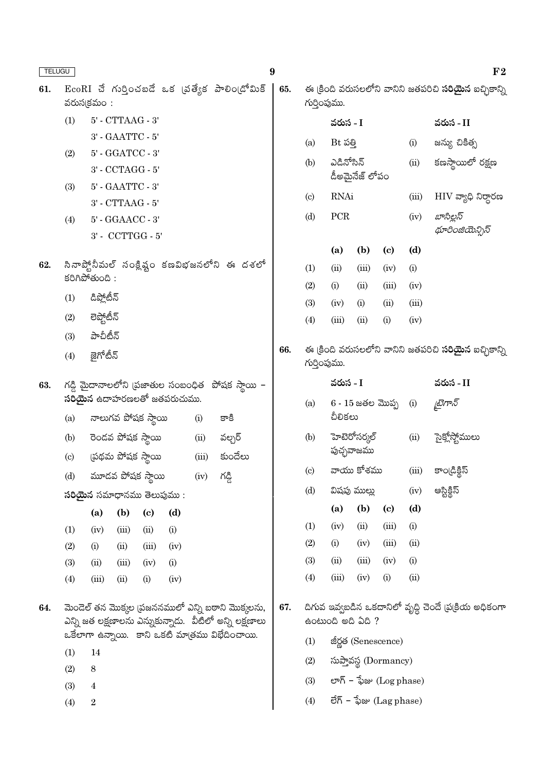| <b>TELUGU</b> |                                                                                                               |                             |                                       |                    |      |            |                                                         | 9   |                            |                               |                   |                             |       | $F_{2}$                                                      |
|---------------|---------------------------------------------------------------------------------------------------------------|-----------------------------|---------------------------------------|--------------------|------|------------|---------------------------------------------------------|-----|----------------------------|-------------------------------|-------------------|-----------------------------|-------|--------------------------------------------------------------|
| 61.           |                                                                                                               | వరుసక్రమం:                  |                                       |                    |      |            | $EcoRI$ చే గుర్తించబడే ఒక (పత్యేక పాలిం(డోమిక్          | 65. | గుర్తింపుము.               |                               |                   |                             |       | ఈ క్రింది వరుసలలోని వానిని జతపరిచి <b>సరియైన</b> ఐచ్చికాన్ని |
|               | (1)                                                                                                           | $5'$ - $CTTAAG$ - $3'$      |                                       |                    |      |            |                                                         |     |                            | వరుస - I                      |                   |                             |       | వరుస - II                                                    |
|               |                                                                                                               |                             | $3'$ - $\text{GAATTC}$ - $5'$         |                    |      |            |                                                         |     | (a)                        | $Bt \leq g$                   |                   |                             | (i)   | జన్యు చికిత్స                                                |
|               | (2)                                                                                                           |                             | $5'$ - $\operatorname{GGATCC}$ - $3'$ |                    |      |            |                                                         |     | (b)                        | ఎడినోసిన్                     |                   |                             | (ii)  | కణస్థాయిలో రక్షణ                                             |
|               |                                                                                                               |                             | $3'$ - $\mathrm{CCTAGG}$ - $5'$       |                    |      |            |                                                         |     |                            |                               | డీఅమైనేజ్ లోపం    |                             |       |                                                              |
|               | (3)                                                                                                           |                             | $5'$ - $\emph{GAATTC}$ - $3'$         |                    |      |            |                                                         |     | $\left( \mathrm{c}\right)$ | RNAi                          |                   |                             | (iii) | ${\rm HIV}$ వ్యాధి నిర్దారణ                                  |
|               |                                                                                                               |                             | $3'$ - CTTAAG - $5'$                  |                    |      |            |                                                         |     | (d)                        | ${\mbox{PCR}}$                |                   |                             | (iv)  | బాసిల్లస్                                                    |
|               | (4)                                                                                                           |                             | 5' - GGAACC - 3'                      |                    |      |            |                                                         |     |                            |                               |                   |                             |       | థూరింజియెన్సిస్                                              |
|               |                                                                                                               |                             |                                       | 3' - CCTTGG - 5'   |      |            |                                                         |     |                            | (a)                           | (b)               | $\left( \mathbf{c} \right)$ | (d)   |                                                              |
| 62.           |                                                                                                               |                             |                                       |                    |      |            | సినాప్ట్లోనీమల్ సంక్లిష్టం కణవిభజనలోని ఈ దశలో           |     | (1)                        | (ii)                          | (iii)             | (iv)                        | (i)   |                                                              |
|               |                                                                                                               | కరిగిపోతుంది:               |                                       |                    |      |            |                                                         |     | (2)                        | (i)                           | (ii)              | (iii)                       | (iv)  |                                                              |
|               | (1)                                                                                                           | డిప్లోటీన్                  |                                       |                    |      |            |                                                         |     | (3)                        | (iv)                          | (i)               | (ii)                        | (iii) |                                                              |
|               | (2)                                                                                                           | లెప్టోటీన్                  |                                       |                    |      |            |                                                         |     | (4)                        | (iii)                         | (ii)              | (i)                         | (iv)  |                                                              |
|               | (3)                                                                                                           | పాచీటీన్<br>జైగోటీన్        |                                       |                    |      |            |                                                         |     |                            |                               |                   |                             |       |                                                              |
|               | (4)                                                                                                           |                             |                                       |                    |      |            |                                                         |     | గుర్తింపుము.               |                               |                   |                             |       | ఈ క్రింది వరుసలలోని వానిని జతపరిచి <b>సరియైన</b> ఐచ్చికాన్ని |
| 63.           |                                                                                                               | సరియైన ఉదాహరణలతో జతపరుచుము. |                                       |                    |      |            | $\wedge$ డ్డి మైదానాలలోని (పజాతుల సంబంధిత పోషక స్థాయి - |     |                            | వరుస - I                      |                   |                             |       | వరుస - II                                                    |
|               | (a)                                                                                                           |                             |                                       | నాలుగవ పోషక స్థాయి |      | (i)        | కాకి                                                    |     | (a)                        | $6 - 15$ జతల మొప్ప<br>చీలికలు |                   |                             | (i)   | డైగాన్                                                       |
|               | (b)                                                                                                           |                             |                                       | రెండవ పోషక స్థాయి  |      | (ii)       | వల్చర్                                                  |     | (b)                        | హెటెరోసర్కల్                  |                   |                             | (ii)  | సైక్లోస్టోములు                                               |
|               | (c)                                                                                                           |                             |                                       | ప్రథమ పోషక స్థాయి  |      | (iii)      | కుందేలు                                                 |     |                            |                               | పుచ్ఛవాజము        |                             |       |                                                              |
|               | (d)                                                                                                           | మూడవ పోషక స్థాయి            |                                       |                    |      | $(iv)$ රදී |                                                         |     | $\left( \circ \right)$     |                               | వాయు కోశము        |                             | (iii) | కాండ్రిక్టిస్                                                |
|               |                                                                                                               | సరియైన సమాధానము తెలుపుము:   |                                       |                    |      |            |                                                         |     | (d)                        |                               | విషపు ముల్లు      |                             | (iv)  | ఆస్టిక్దిస్                                                  |
|               |                                                                                                               | (a)                         | (b)                                   | (c)                | (d)  |            |                                                         |     |                            | (a)                           | (b)               | $\left( \mathbf{c} \right)$ | (d)   |                                                              |
|               | (1)                                                                                                           | (iv)                        | (iii)                                 | (ii)               | (i)  |            |                                                         |     | (1)                        | (iv)                          | (ii)              | (iii)                       | (i)   |                                                              |
|               | (2)                                                                                                           | (i)                         | (ii)                                  | (iii)              | (iv) |            |                                                         |     | (2)                        | (i)                           | (iv)              | (iii)                       | (ii)  |                                                              |
|               | (3)                                                                                                           | (ii)                        | (iii)                                 | (iv)               | (i)  |            |                                                         |     | (3)                        | (ii)                          | (iii)             | (iv)                        | (i)   |                                                              |
|               | (4)                                                                                                           | (iii)                       | (ii)                                  | (i)                | (iv) |            |                                                         |     | (4)                        | (iii)                         | (iv)              | (i)                         | (ii)  |                                                              |
| 64.           | మెండెల్ తన మొక్కల (పజననములో ఎన్ని బఠాని మొక్కలను,<br>ఎన్ని జత లక్షణాలను ఎన్నుకున్నాడు.  వీటిలో అన్ని లక్షణాలు |                             |                                       |                    |      |            |                                                         | 67. |                            |                               | ఉంటుంది అది ఏది ? |                             |       | దిగువ ఇవ్వబడిన ఒకదానిలో వృద్ధి చెందే (ప(కియ అధికంగా          |
|               |                                                                                                               |                             |                                       |                    |      |            | ఒకేలాగా ఉన్నాయి. కాని ఒకటి మాత్రము విభేదించాయి.         |     | (1)                        |                               |                   | జీర్ణత (Senescence)         |       |                                                              |
|               | (1)                                                                                                           | 14                          |                                       |                    |      |            |                                                         |     | (2)                        |                               |                   | సుప్తావస్థ (Dormancy)       |       |                                                              |
|               | (2)<br>(3)                                                                                                    | 8<br>4                      |                                       |                    |      |            |                                                         |     | (3)                        |                               |                   | లాగ్ – ఫేజు (Log phase)     |       |                                                              |
|               | (4)                                                                                                           | $\boldsymbol{2}$            |                                       |                    |      |            |                                                         |     | (4)                        |                               |                   | లేగ్ – ఫేజు $(Lag phase)$   |       |                                                              |
|               |                                                                                                               |                             |                                       |                    |      |            |                                                         |     |                            |                               |                   |                             |       |                                                              |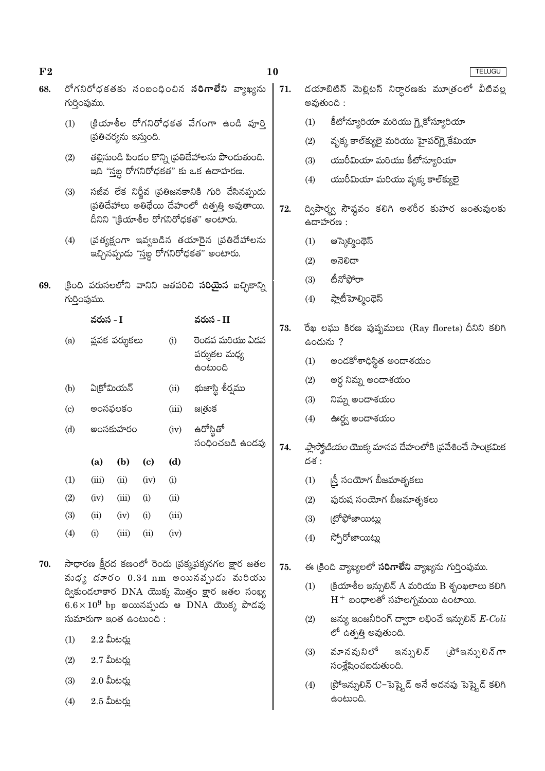| గుర్తింపుము. |                                 |                     |                                                                                             |                                                                                  | రోగనిరోధకతకు సంబంధించిన <b>సరిగాలేని</b> వ్యాఖ్యను    | 71.                                                                                                                                                                                                                                                                                                                                                                                                                                                                                                                                                                                                                             |                                                                      | డయాబిటిస్ మెల్లిటస్ నిర్ధారణకు మూత్రంలో వీటివల్ల                                   |  |  |  |  |  |
|--------------|---------------------------------|---------------------|---------------------------------------------------------------------------------------------|----------------------------------------------------------------------------------|-------------------------------------------------------|---------------------------------------------------------------------------------------------------------------------------------------------------------------------------------------------------------------------------------------------------------------------------------------------------------------------------------------------------------------------------------------------------------------------------------------------------------------------------------------------------------------------------------------------------------------------------------------------------------------------------------|----------------------------------------------------------------------|------------------------------------------------------------------------------------|--|--|--|--|--|
|              |                                 |                     |                                                                                             |                                                                                  |                                                       |                                                                                                                                                                                                                                                                                                                                                                                                                                                                                                                                                                                                                                 |                                                                      | అవుతుంది :                                                                         |  |  |  |  |  |
| (1)          |                                 |                     |                                                                                             |                                                                                  | క్రియాశీల రోగనిరోధకత వేగంగా ఉండి పూర్తి               |                                                                                                                                                                                                                                                                                                                                                                                                                                                                                                                                                                                                                                 | (1)                                                                  | కీటోన్యూరియా మరియు గ్లై కోస్యూరియా                                                 |  |  |  |  |  |
|              |                                 |                     |                                                                                             |                                                                                  |                                                       |                                                                                                                                                                                                                                                                                                                                                                                                                                                                                                                                                                                                                                 | (2)                                                                  | వృక్క కాల్క్యులై మరియు హైపర్గ్లైకేమియా                                             |  |  |  |  |  |
| (2)          |                                 |                     |                                                                                             |                                                                                  |                                                       |                                                                                                                                                                                                                                                                                                                                                                                                                                                                                                                                                                                                                                 | (3)                                                                  | యురీమియా మరియు కీటోన్యూరియా                                                        |  |  |  |  |  |
|              |                                 |                     |                                                                                             |                                                                                  |                                                       |                                                                                                                                                                                                                                                                                                                                                                                                                                                                                                                                                                                                                                 | (4)                                                                  | యురీమియా మరియు వృక్క కాల్క్యులై                                                    |  |  |  |  |  |
|              |                                 |                     |                                                                                             |                                                                                  |                                                       | 72.                                                                                                                                                                                                                                                                                                                                                                                                                                                                                                                                                                                                                             | ద్విపార్శ్వ సౌష్ఠవం కలిగి అశరీర కుహర జంతువులకు<br>ఉదాహరణ :           |                                                                                    |  |  |  |  |  |
| (4)          |                                 |                     |                                                                                             |                                                                                  |                                                       |                                                                                                                                                                                                                                                                                                                                                                                                                                                                                                                                                                                                                                 | (1)                                                                  | ఆస్కెల్మింథెస్                                                                     |  |  |  |  |  |
|              |                                 |                     |                                                                                             |                                                                                  |                                                       |                                                                                                                                                                                                                                                                                                                                                                                                                                                                                                                                                                                                                                 | (2)                                                                  | ಅನೆಲಿದ್                                                                            |  |  |  |  |  |
|              |                                 |                     |                                                                                             |                                                                                  |                                                       |                                                                                                                                                                                                                                                                                                                                                                                                                                                                                                                                                                                                                                 | (3)                                                                  | టీనోఫోరా                                                                           |  |  |  |  |  |
|              |                                 |                     |                                                                                             |                                                                                  |                                                       |                                                                                                                                                                                                                                                                                                                                                                                                                                                                                                                                                                                                                                 | (4)                                                                  | ప్లాటీహెల్మింథెస్                                                                  |  |  |  |  |  |
|              |                                 |                     |                                                                                             |                                                                                  | వరుస - II                                             |                                                                                                                                                                                                                                                                                                                                                                                                                                                                                                                                                                                                                                 |                                                                      | రేఖ లఘు కిరణ పుష్పములు (Ray florets) దీనిని కలిగి                                  |  |  |  |  |  |
| (a)          |                                 |                     |                                                                                             | (i)                                                                              | రెండవ మరియు ఏడవ                                       |                                                                                                                                                                                                                                                                                                                                                                                                                                                                                                                                                                                                                                 |                                                                      | ఉందును ?                                                                           |  |  |  |  |  |
|              |                                 |                     |                                                                                             |                                                                                  | పర్శుకల మధ్య                                          |                                                                                                                                                                                                                                                                                                                                                                                                                                                                                                                                                                                                                                 | (1)                                                                  | అందకోశాధిస్థిత అందాశయం                                                             |  |  |  |  |  |
|              |                                 |                     |                                                                                             |                                                                                  | భుజాస్థి శీర్వము<br>జ@తుక                             |                                                                                                                                                                                                                                                                                                                                                                                                                                                                                                                                                                                                                                 | (2)                                                                  | అర్ధ నిమ్న అందాశయం                                                                 |  |  |  |  |  |
|              |                                 |                     |                                                                                             |                                                                                  |                                                       |                                                                                                                                                                                                                                                                                                                                                                                                                                                                                                                                                                                                                                 | (3)                                                                  | నిమ్న అందాశయం                                                                      |  |  |  |  |  |
|              |                                 |                     |                                                                                             |                                                                                  |                                                       |                                                                                                                                                                                                                                                                                                                                                                                                                                                                                                                                                                                                                                 | (4)                                                                  | ఊర్ద్వ అందాశయం                                                                     |  |  |  |  |  |
|              |                                 |                     |                                                                                             |                                                                                  | సంధించబడి ఉండవు                                       | 74.                                                                                                                                                                                                                                                                                                                                                                                                                                                                                                                                                                                                                             | <i>ప్లాస్మోడియం</i> యొక్క మానవ దేహంలోకి (ప్రవేశించే సాం(కమిక<br>దశ : |                                                                                    |  |  |  |  |  |
| (1)          | (iii)                           | (ii)                | (iv)                                                                                        | (i)                                                                              |                                                       |                                                                                                                                                                                                                                                                                                                                                                                                                                                                                                                                                                                                                                 |                                                                      | <sub> </sub> స్తీ సంయోగ బీజమాతృకలు                                                 |  |  |  |  |  |
| (2)          | (iv)                            | (iii)               | (i)                                                                                         | (ii)                                                                             |                                                       |                                                                                                                                                                                                                                                                                                                                                                                                                                                                                                                                                                                                                                 | (2)                                                                  | పురుష సంయోగ బీజమాతృకలు                                                             |  |  |  |  |  |
| (3)          | (ii)                            | (iv)                | (i)                                                                                         | (iii)                                                                            |                                                       |                                                                                                                                                                                                                                                                                                                                                                                                                                                                                                                                                                                                                                 | (3)                                                                  | (టోఫోజాయిట <u>్ల</u> ు                                                             |  |  |  |  |  |
| (4)          | (i)                             | (iii)               | (ii)                                                                                        | (iv)                                                                             |                                                       |                                                                                                                                                                                                                                                                                                                                                                                                                                                                                                                                                                                                                                 | (4)                                                                  | స్పోరోజాయిట్లు                                                                     |  |  |  |  |  |
|              |                                 |                     |                                                                                             |                                                                                  |                                                       | 75.                                                                                                                                                                                                                                                                                                                                                                                                                                                                                                                                                                                                                             |                                                                      | ఈ క్రింది వ్యాఖ్యలలో సరిగాలేని వ్యాఖ్యను గుర్తింపుము.                              |  |  |  |  |  |
|              |                                 |                     |                                                                                             |                                                                                  |                                                       |                                                                                                                                                                                                                                                                                                                                                                                                                                                                                                                                                                                                                                 | (1)                                                                  | (కియాశీల ఇన్సులిన్ A మరియు B శృంఖలాలు కలిగి<br>$\rm H^+$ బంధాలతో సహలగ్నమయి ఉంటాయి. |  |  |  |  |  |
|              |                                 |                     |                                                                                             |                                                                                  |                                                       |                                                                                                                                                                                                                                                                                                                                                                                                                                                                                                                                                                                                                                 | (2)                                                                  | జన్యు ఇంజనీరింగ్ ద్వారా లభించే ఇన్సులిన్ $\emph{E-Coll}$<br>లో ఉత్పత్తి అవుతుంది.  |  |  |  |  |  |
| (2)          |                                 |                     |                                                                                             |                                                                                  |                                                       |                                                                                                                                                                                                                                                                                                                                                                                                                                                                                                                                                                                                                                 | (3)                                                                  | వూనవునిలో<br>ఇన్సులిన్ (పోఇన్సులిన్గా<br>సంశ్లేషించబడుతుంది.                       |  |  |  |  |  |
| (3)          |                                 |                     |                                                                                             |                                                                                  |                                                       |                                                                                                                                                                                                                                                                                                                                                                                                                                                                                                                                                                                                                                 | (4)                                                                  | (పోఇన్సులిన్ C−పెప్తైడ్ అనే అదనపు పెప్తైడ్ కలిగి                                   |  |  |  |  |  |
| (4)          | $2.5$ మీటర్లు                   |                     |                                                                                             |                                                                                  |                                                       |                                                                                                                                                                                                                                                                                                                                                                                                                                                                                                                                                                                                                                 |                                                                      | ఉంటుంది.                                                                           |  |  |  |  |  |
|              | (3)<br>(b)<br>(c)<br>(d)<br>(1) | గుర్తింపుము.<br>(a) | వరుస - I<br>ఏక్రోమియన్<br>అంసఫలకం<br>(b)<br>$2.2$ మీటర్లు<br>$2.7$ మీటర్లు<br>$2.0$ మీటర్లు | (పతిచర్యను ఇస్తుంది.<br>ప్లవక పర్శుకలు<br>అంసకుహరం<br>$\left( \mathrm{c}\right)$ | (ii)<br>(iii)<br>(iv)<br>(d)<br>సుమారుగా ఇంత ఉంటుంది: | తల్లినుండి పిండం కొన్ని ప్రతిదేహాలను పొందుతుంది.<br>ఇది ''స్తబ్ద రోగనిరోధకత" కు ఒక ఉదాహరణ.<br>సజీవ లేక నిర్ణీవ (పతిజనకానికి గురి చేసినప్పుడు<br>ప్రతిదేహాలు అతిథేయి దేహంలో ఉత్పత్తి అవుతాయి.<br>దీనిని "క్రియాశీల రోగనిరోధకత" అంటారు.<br>(పత్యక్షంగా ఇవ్వబడిన తయారైన (పతిదేహాలను<br>ఇచ్చినప్పుడు "స్తబ్ద రోగనిరోధకత" అంటారు.<br>క్రింది వరుసలలోని వానిని జతపరిచి <b>సరియైన</b> ఐచ్చికాన్ని<br>සංහාංයි<br>ఉరోస్థితో<br>సాధారణ క్షీరద కణంలో రెండు (పక్కపక్కనగల క్షార జతల<br>వుధ్య దూరం $0.34 \text{ nm}$ అయినవ్పుడు వురియు<br>ద్వికుండలాకార DNA యొక్క మొత్తం క్షార జతల సంఖ్య<br>$6.6\times10^9$ bp అయినప్పుడు ఆ $DNA$ యొక్క పొడవు | 73.                                                                  | (1)                                                                                |  |  |  |  |  |

 $\bf{F2}$ 

## $10$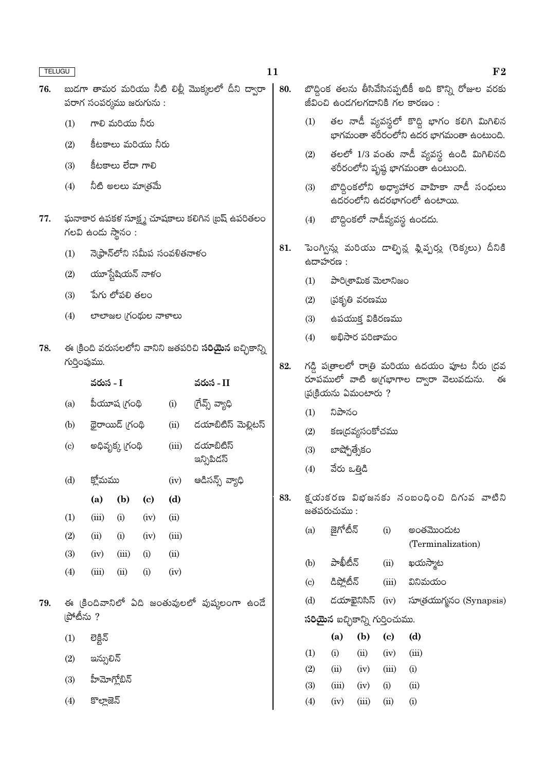| <b>TELUGU</b> |                             |                                       |                    |                             |                               |                                                              | 11  |                                              |                                        |                                                                                                                                    |       | F <sub>2</sub>                                                                          |  |
|---------------|-----------------------------|---------------------------------------|--------------------|-----------------------------|-------------------------------|--------------------------------------------------------------|-----|----------------------------------------------|----------------------------------------|------------------------------------------------------------------------------------------------------------------------------------|-------|-----------------------------------------------------------------------------------------|--|
| 76.           |                             | పరాగ సంపర్మము జరుగును :               |                    |                             |                               | బుడగా తామర మరియు నీటి లిల్లీ మొక్కలలో దీని ద్వారా            | 80. |                                              |                                        |                                                                                                                                    |       | బొద్దింక తలను తీసివేసినప్పటికీ అది కొన్ని రోజుల వరకు<br>జీవించి ఉండగలగడానికి గల కారణం : |  |
|               | (1)                         |                                       | గాలి మరియు నీరు    |                             |                               |                                                              |     | (1)                                          |                                        | తల నాడీ వ్యవస్థలో కొద్ది భాగం కలిగి మిగిలిన<br>భాగమంతా శరీరంలోని ఉదర భాగమంతా ఉంటుంది.<br>తలలో 1/3 వంతు నాడీ వ్యవస్థ ఉండి మిగిలినది |       |                                                                                         |  |
|               | (2)                         |                                       | కీటకాలు మరియు నీరు |                             |                               |                                                              |     |                                              |                                        |                                                                                                                                    |       |                                                                                         |  |
|               | (3)                         |                                       | కీటకాలు లేదా గాలి  |                             |                               |                                                              |     | (2)                                          |                                        |                                                                                                                                    |       | శరీరంలోని పృష్ఠ భాగమంతా ఉంటుంది.                                                        |  |
|               | (4)                         |                                       | నీటి అలలు మాత్రమే  |                             |                               |                                                              |     | (3)                                          |                                        |                                                                                                                                    |       | బొద్దింకలోని అధ్యాహార వాహికా నాడీ సంధులు<br>ఉదరంలోని ఉదరభాగంలో ఉంటాయి.                  |  |
| 77.           |                             | గలవి ఉండు స్థానం :                    |                    |                             |                               | ఘనాకార ఉపకళ సూక్ష్మ చూషకాలు కలిగిన (బష్ ఉపరితలం              |     | (4)                                          |                                        |                                                                                                                                    |       | బొద్దింకలో నాడీవ్యవస్థ ఉండదు.                                                           |  |
|               | (1)                         |                                       |                    |                             | నె(ఫ్రాన్లోని సమీప సంవళితనాళం |                                                              | 81. |                                              | ఉదాహరణ :                               |                                                                                                                                    |       | పెంగ్విన్లు మరియు దాల్ఫిన్ల ఫ్లిప్పర్లు (రెక్కలు) దీనికి                                |  |
|               | (2)                         |                                       | యూస్టేషియన్ నాళం   |                             |                               |                                                              |     | (1)                                          |                                        | పారి(శామిక మెలానిజం                                                                                                                |       |                                                                                         |  |
|               | (3)                         |                                       | పేగు లోపలి తలం     |                             |                               |                                                              |     | (2)                                          |                                        |                                                                                                                                    |       |                                                                                         |  |
|               | (4)<br>లాలాజల (గంథుల నాళాలు |                                       |                    |                             |                               |                                                              |     | (3)                                          | (పకృతి వరణము<br>ఉపయుక్త వికిరణము       |                                                                                                                                    |       |                                                                                         |  |
|               |                             |                                       |                    |                             |                               |                                                              |     | (4)                                          | అభిసార పరిణామం                         |                                                                                                                                    |       |                                                                                         |  |
| 78.           | గుర్తింపుము.                |                                       |                    |                             |                               | ఈ క్రింది వరుసలలోని వానిని జతపరిచి <b>సరియైన</b> ఐచ్చికాన్ని | 82. |                                              |                                        |                                                                                                                                    |       | గడ్డి ప[తాలలో రాత్రి మరియు ఉదయం పూట నీరు (దవ                                            |  |
|               |                             | వరుస - I                              |                    |                             |                               | వరుస - II                                                    |     |                                              |                                        |                                                                                                                                    |       | రూపములో వాటి అ(గభాగాల ద్వారా వెలువడును. ఈ                                               |  |
|               | (a)                         | గ్రేవ్స్ వ్యాధి<br>పీయూష (గంథి<br>(i) |                    |                             |                               |                                                              |     | [ప(కియను ఏమంటారు?<br>నిపానం                  |                                        |                                                                                                                                    |       |                                                                                         |  |
|               | (b)                         |                                       | థైరాయిడ్ (గంథి     |                             | (ii)                          | డయాబిటిస్ మెల్లిటస్                                          |     | (1)                                          |                                        |                                                                                                                                    |       |                                                                                         |  |
|               | $\left( \mathrm{c}\right)$  |                                       | అధివృక్క (గంథి     |                             | (iii)                         | దయాబిటిస్<br>ఇన్సిపిడస్                                      |     | కణ(దవ్యసంకోచము<br>(2)<br>బాష్పోత్సేకం<br>(3) |                                        |                                                                                                                                    |       |                                                                                         |  |
|               | (d)                         | క్లోమము                               |                    |                             | (iv)                          | ఆడిసన్స్ వ్యాధి                                              |     | వేరు ఒత్తిడి<br>(4)                          |                                        |                                                                                                                                    |       |                                                                                         |  |
|               |                             | (a)                                   | (b)                | $\left( \mathbf{c} \right)$ | (d)                           |                                                              | 83. |                                              |                                        |                                                                                                                                    |       | క్షయకరణ విభజనకు సంబంధించి దిగువ వాటిని                                                  |  |
|               | (1)                         | (iii)                                 | (i)                | (iv)                        | (ii)                          |                                                              |     |                                              | జతపరుచుము :                            |                                                                                                                                    |       |                                                                                         |  |
|               | (2)                         | (ii)                                  | (i)                | (iv)                        | (iii)                         |                                                              |     | (a)                                          | జైగోటీన్                               |                                                                                                                                    | (i)   | అంతమొందుట<br>(Terminalization)                                                          |  |
|               | (3)                         | (iv)                                  | (iii)              | (i)                         | (ii)                          |                                                              |     | (b)                                          | పాఖీటీన్                               |                                                                                                                                    | (ii)  | ఖయస్మాట                                                                                 |  |
|               | (4)                         | (iii)                                 | (ii)               | (i)                         | (iv)                          |                                                              |     | (c)                                          | డిప్లోటీన్                             |                                                                                                                                    | (iii) | వినిమయం                                                                                 |  |
| 79.           |                             |                                       |                    |                             |                               | ఈ క్రిందివానిలో ఏది జంతువులలో పుషులంగా ఉండే                  |     | (d)                                          |                                        | డయాఖైనిసిస్                                                                                                                        | (iv)  | సూత్రయుగ్మనం (Synapsis)                                                                 |  |
|               | (పోటీను ?                   |                                       |                    |                             |                               |                                                              |     |                                              | <b>సరియైన</b> ఐచ్చికాన్ని గుర్తించుము. |                                                                                                                                    |       |                                                                                         |  |
|               | (1)                         | లెక్టిన్                              |                    |                             |                               |                                                              |     |                                              | (a)                                    | (b)                                                                                                                                | (c)   | (d)                                                                                     |  |
|               | (2)                         | ఇన్సులిన్                             |                    |                             |                               |                                                              |     | (1)                                          | (i)                                    | (ii)                                                                                                                               | (iv)  | (iii)                                                                                   |  |
|               | (3)                         |                                       |                    |                             |                               |                                                              |     | (2)                                          | (ii)                                   | (iv)                                                                                                                               | (iii) | (i)                                                                                     |  |
|               |                             | హీమోగ్లోబిన్                          |                    |                             |                               |                                                              |     | (3)                                          | (iii)                                  | (iv)                                                                                                                               | (i)   | (ii)                                                                                    |  |
|               | (4)                         | కొల్లాజెన్                            |                    |                             |                               |                                                              |     | (4)                                          | (iv)                                   | (iii)                                                                                                                              | (ii)  | (i)                                                                                     |  |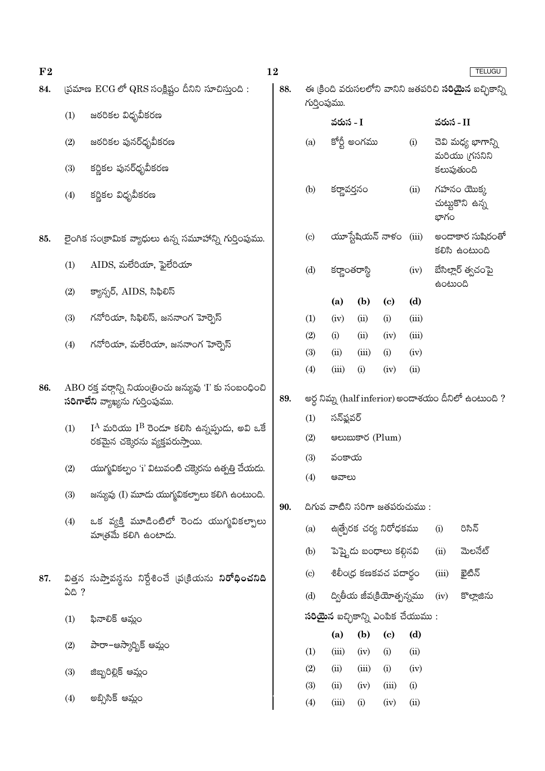| $F_{2}$ |                                                                                            |                                                                                               | 12<br><b>TELUGU</b> |                                                                              |                                        |             |                                   |                                                   |                                   |         |
|---------|--------------------------------------------------------------------------------------------|-----------------------------------------------------------------------------------------------|---------------------|------------------------------------------------------------------------------|----------------------------------------|-------------|-----------------------------------|---------------------------------------------------|-----------------------------------|---------|
| 84.     |                                                                                            | (పమాణ $\:\mathrm{ECG}\:\mathrm{C}^{\mathsf{S}}\:\mathrm{QRS}$ సంక్లిష్టం దీనిని సూచిస్తుంది : | 88.                 | ఈ క్రింది వరుసలలోని వానిని జతపరిచి <b>సరియైన</b> ఐచ్చికాన్ని<br>గుర్తింపుము. |                                        |             |                                   |                                                   |                                   |         |
|         | (1)                                                                                        | జఠరికల విధృవీకరణ                                                                              |                     |                                                                              | వరుస - I                               |             |                                   |                                                   | వరుస - II                         |         |
|         | (2)<br>(3)                                                                                 | జఠరికల పునర్ధృవీకరణ<br>కర్ణికల పునర్ధృవీకరణ                                                   |                     | (a)                                                                          | కోర్టీ అంగము                           |             | (i)                               | చెవి మధ్య భాగాన్ని<br>మరియు (గసనిని<br>కలుపుతుంది |                                   |         |
|         |                                                                                            |                                                                                               |                     |                                                                              |                                        |             |                                   |                                                   |                                   |         |
|         | (4)                                                                                        | కర్ణికల విధృవీకరణ                                                                             |                     | (b)<br>కర్ణావర్తనం                                                           |                                        |             | (ii)                              | భాగం                                              | గహనం యొక్క<br>చుట్టుకొని ఉన్న     |         |
| 85.     |                                                                                            | లైంగిక సంక్రామిక వ్యాధులు ఉన్న సమూహాన్ని గుర్తింపుము.                                         |                     | $\left( \mathrm{c}\right)$                                                   | యూస్టేషియన్ నాళం $(iii)$               |             |                                   |                                                   | అందాకార సుషిరంతో<br>కలిసి ఉంటుంది |         |
|         | (1)                                                                                        | AIDS, మలేరియా, ఫైలేరియా                                                                       |                     | (d)                                                                          | కర్ణాంతరాస్థి                          |             | (iv)                              | బేసిల్లార్ త్వచంపై<br>ఉంటుంది                     |                                   |         |
|         | (2)                                                                                        | క్యాన్సర్, AIDS, సిఫిలిస్                                                                     |                     |                                                                              | (a)                                    | (b)         | $\left( \mathbf{c} \right)$       | (d)                                               |                                   |         |
|         | (3)                                                                                        | గనోరియా, సిఫిలిస్, జననాంగ హెర్సెస్                                                            |                     | (1)                                                                          | (iv)                                   | (ii)        | (i)                               | (iii)                                             |                                   |         |
|         |                                                                                            |                                                                                               |                     | (2)                                                                          | (i)                                    | (ii)        | (iv)                              | (iii)                                             |                                   |         |
|         | (4)                                                                                        | గనోరియా, మలేరియా, జననాంగ హెర్బెస్                                                             |                     | (3)                                                                          | (ii)                                   | (iii)       | (i)                               | (iv)                                              |                                   |         |
|         |                                                                                            |                                                                                               |                     | (4)                                                                          | (iii)                                  | (i)         | (iv)                              | (ii)                                              |                                   |         |
| 86.     | ABO రక్త వర్గాన్ని నియం[తించు జన్యువు 'I' కు సంబంధించి<br>సరిగాలేని వ్యాఖ్యను గుర్తింపుము. |                                                                                               |                     | అర్ధ నిమ్న (half inferior) అందాశయం దీనిలో ఉంటుంది ?                          |                                        |             |                                   |                                                   |                                   |         |
|         | (1)                                                                                        | $I^A$ మరియు $I^B$ రెండూ కలిసి ఉన్నప్పుడు, అవి ఒకే                                             |                     | (1)                                                                          | సన్ఫ్లవర్                              |             |                                   |                                                   |                                   |         |
|         |                                                                                            | రకమైన చక్కెరను వ్యక్తపరుస్తాయి.                                                               |                     | (2)                                                                          | ෂಲාසාපර (Plum)                         |             |                                   |                                                   |                                   |         |
|         | (2)                                                                                        | యుగ్మవికల్పం 'i' విటువంటి చక్కెరను ఉత్పత్తి చేయదు.                                            |                     | (3)                                                                          | వంకాయ                                  |             |                                   |                                                   |                                   |         |
|         |                                                                                            |                                                                                               |                     | (4)                                                                          | ఆవాలు                                  |             |                                   |                                                   |                                   |         |
|         | (3)                                                                                        | జన్యువు (I) మూడు యుగ్మవికల్పాలు కలిగి ఉంటుంది.                                                | 90.                 | దిగువ వాటిని సరిగా జతపరుచుము:                                                |                                        |             |                                   |                                                   |                                   |         |
|         | (4)                                                                                        | ఒక వ్యక్తి మూడింటిలో రెండు యుగ్మవికల్పాలు<br>మాత్రమే కలిగి ఉంటాడు.                            |                     | (a)                                                                          | ఉత్పేరక చర్య నిరోధకము<br>రిసిన్<br>(i) |             |                                   |                                                   |                                   |         |
|         |                                                                                            |                                                                                               |                     | (b)                                                                          |                                        |             | పెప్త్టెడు బంధాలు కల్గినవి        |                                                   | (ii)                              | మెలనేట్ |
| 87.     |                                                                                            | విత్తన సుప్తావస్థను నిర్దేశించే చుక్రియను ని <b>రోధించనిది</b>                                |                     | $\left( \mathrm{c}\right)$                                                   |                                        |             | శిలీంద్ర కణకవచ పదార్థం            |                                                   | (iii)                             | ఖైటిన్  |
|         | ఏది ?                                                                                      |                                                                                               |                     | ద్వితీయ జీవ(కియోత్పన్నము<br>(d)                                              |                                        |             | (iv)                              | కొల్లాజిను                                        |                                   |         |
|         | (1)                                                                                        | ఫినాలిక్ ఆమ్లం                                                                                |                     | <b>సరియైన</b> ఐచ్ఛికాన్ని ఎంపిక చేయుము :                                     |                                        |             |                                   |                                                   |                                   |         |
|         | (2)                                                                                        | పారా–ఆస్కార్బిక్ ఆమ్లం                                                                        |                     | (1)                                                                          | (a)<br>(iii)                           | (b)<br>(iv) | $\left( \mathrm{c}\right)$<br>(i) | (d)<br>(ii)                                       |                                   |         |
|         | (3)                                                                                        | జిబ్బరిల్లిక్ ఆమ్లం                                                                           |                     | (2)                                                                          | (ii)                                   | (iii)       | (i)                               | (iv)                                              |                                   |         |
|         |                                                                                            |                                                                                               |                     | (3)                                                                          | (ii)                                   | (iv)        | (iii)                             | (i)                                               |                                   |         |
|         | (4)                                                                                        | అబ్సిసిక్ ఆమ్లం                                                                               |                     | (4)                                                                          | (iii)                                  | (i)         | (iv)                              | (ii)                                              |                                   |         |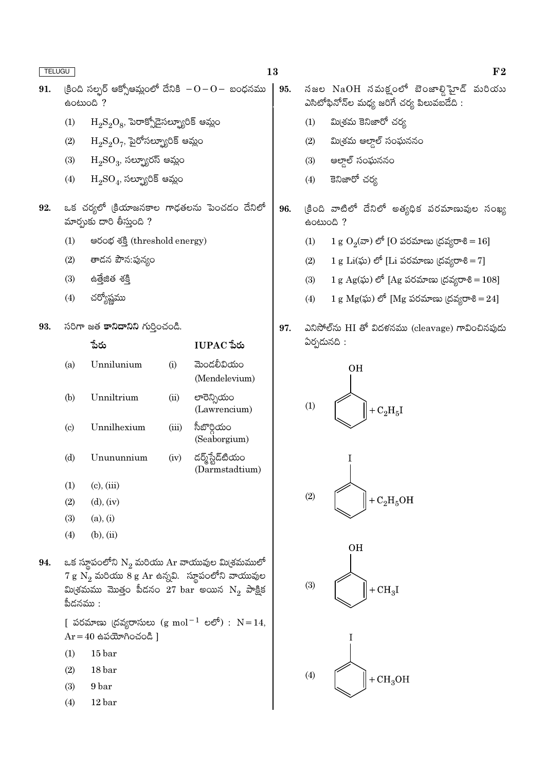| <b>TELUGU</b> |                                                                                                                                                                                                                                         |                                                                                                      |       |                                                           | 13 |                                                 | F <sub>2</sub>                                                                     |
|---------------|-----------------------------------------------------------------------------------------------------------------------------------------------------------------------------------------------------------------------------------------|------------------------------------------------------------------------------------------------------|-------|-----------------------------------------------------------|----|-------------------------------------------------|------------------------------------------------------------------------------------|
| 91.           |                                                                                                                                                                                                                                         | (కింది సల్పర్ ఆక్సోఆమ్లంలో దేనికి $-0-0-$ బంధనము<br>eocood ?                                         |       |                                                           |    |                                                 | నజల NaOH నమక్షంలో బెంజాల్డిహైడ్ మరియు<br>ఎసిటోఫినోన్ల మధ్య జరిగే చర్య పిలువబడేది : |
|               | (1)                                                                                                                                                                                                                                     | $H_2S_2O_8$ , పెరాక్సోడైసల్బ్యూరిక్ ఆమ్లం                                                            |       |                                                           |    | (1)                                             | మి(శమ కెనిజారో చర్య                                                                |
|               | (2)                                                                                                                                                                                                                                     | $\mathrm{H}_{2}\mathrm{S}_{2}\mathrm{O}_{7}$ , పైరోసల్బ్యూరిక్ ఆమ్లం<br>$H_2SO_3$ , సల్ఫ్యూరస్ ఆమ్లం |       |                                                           |    | (2)                                             | మి(శమ ఆల్తాల్ సంఘననం                                                               |
|               | (3)                                                                                                                                                                                                                                     |                                                                                                      |       |                                                           |    | (3)                                             | ఆల్తాల్ సంఘననం                                                                     |
|               | (4)                                                                                                                                                                                                                                     | $H_2SO_4$ , సల్బ్యూరిక్ ఆమ్లం                                                                        |       |                                                           |    | (4)                                             | కెనిజారో చర్య                                                                      |
| 92.           |                                                                                                                                                                                                                                         | ఒక చర్యలో (కియాజనకాల గాఢతలను పెంచడం దేనిలో<br>మార్చుకు దారి తీస్తుంది ?                              |       |                                                           |    |                                                 | క్రింది వాటిలో దేనిలో అత్యధిక పరమాణువుల సంఖ్య<br>eomon ?                           |
|               | (1)                                                                                                                                                                                                                                     | පරංಭ శక్తి (threshold energy)                                                                        |       |                                                           |    | (1)                                             | $1 g O2(x)$ లో [O పరమాణు (దవ్యరాశి = 16]                                           |
|               | (2)                                                                                                                                                                                                                                     | తాడన పౌన:పున్యం                                                                                      |       |                                                           |    | (2)                                             | 1 g Li $(\tilde{\omega})$ లో [Li పరమాణు (దవ్యరాశి = 7]                             |
|               | (3)                                                                                                                                                                                                                                     | සමිූසීඡ శక్తి                                                                                        |       |                                                           |    | (3)                                             | 1 g Ag(ఘ) లో [Ag పరమాణు (దవ్యరాశి = 108]                                           |
|               | (4)                                                                                                                                                                                                                                     | చర్యోష్ణము                                                                                           |       |                                                           |    | (4)                                             | 1 g $Mg(x)$ ) లో [Mg పరమాణు (దవ్యరాశి = 24]                                        |
| 93.           | సరిగా జత కానిదానిని గుర్తించండి.                                                                                                                                                                                                        |                                                                                                      |       | 97.                                                       |    | ఎనిసోల్ను HI తో విదళనము (cleavage) గావించినపుడు |                                                                                    |
|               |                                                                                                                                                                                                                                         | పేరు                                                                                                 |       | IUPAC పేరు                                                |    |                                                 | ఏర్పడునది :                                                                        |
|               | (a)                                                                                                                                                                                                                                     | Unnilunium                                                                                           | (i)   | మెండలీవియం<br>(Mendelevium)                               |    |                                                 | OН                                                                                 |
|               | (b)                                                                                                                                                                                                                                     | Unniltrium                                                                                           | (ii)  | లారెన్సియం<br>(Lawrencium)                                |    | (1)                                             | $+ C_2H_5I$                                                                        |
|               | $\left( \mathrm{c}\right)$                                                                                                                                                                                                              | Unnilhexium                                                                                          | (iii) | సీబొర్గియం<br>(Seaborgium)                                |    |                                                 |                                                                                    |
|               | (d)                                                                                                                                                                                                                                     | Unununnium                                                                                           | (iv)  | డర్మ్స్టేడ్టియం<br>(Darmstadtium)                         |    |                                                 | Ι                                                                                  |
|               | (1)                                                                                                                                                                                                                                     | $(c)$ , $(iii)$                                                                                      |       |                                                           |    |                                                 |                                                                                    |
|               | (2)                                                                                                                                                                                                                                     | $(d)$ , $(iv)$                                                                                       |       |                                                           |    | (2)                                             | $+ C2H5OH$                                                                         |
|               | (3)                                                                                                                                                                                                                                     | (a), (i)                                                                                             |       |                                                           |    |                                                 |                                                                                    |
|               | (4)                                                                                                                                                                                                                                     | $(b)$ , $(ii)$                                                                                       |       |                                                           |    |                                                 |                                                                                    |
| 94.           | ఒక స్థూపంలోని $\mathrm{N}_2$ మరియు $\mathrm{Ar}$ వాయువుల మి(శమములో<br>$7 \text{ g } \text{N}_2$ మరియు $8 \text{ g } \text{Ar}$ ఉన్నవి. స్థూపంలోని వాయువుల<br>మి(శమము మొత్తం పీడనం $27$ $\rm{bar}$ అయిన $\rm{N}_{2}$ పాక్షిక<br>పీదనము : |                                                                                                      |       |                                                           |    | (3)                                             | <b>OH</b><br>$+CH3I$                                                               |
|               |                                                                                                                                                                                                                                         | $Ar = 40$ ఉపయోగించండి ]                                                                              |       | [ పరమాణు (దవ్యరాసులు (g mol <sup>-1</sup> లలో) : $N=14$ , |    |                                                 |                                                                                    |
|               | (1)                                                                                                                                                                                                                                     | 15 <sub>bar</sub>                                                                                    |       |                                                           |    |                                                 |                                                                                    |
|               | (2)                                                                                                                                                                                                                                     | 18 bar                                                                                               |       |                                                           |    | (4)                                             | $+CH3OH$                                                                           |
|               | (3)                                                                                                                                                                                                                                     | 9 bar                                                                                                |       |                                                           |    |                                                 |                                                                                    |

- $(3)$  $9<sub>bar</sub>$
- $(4)$  $12\,\mathrm{bar}$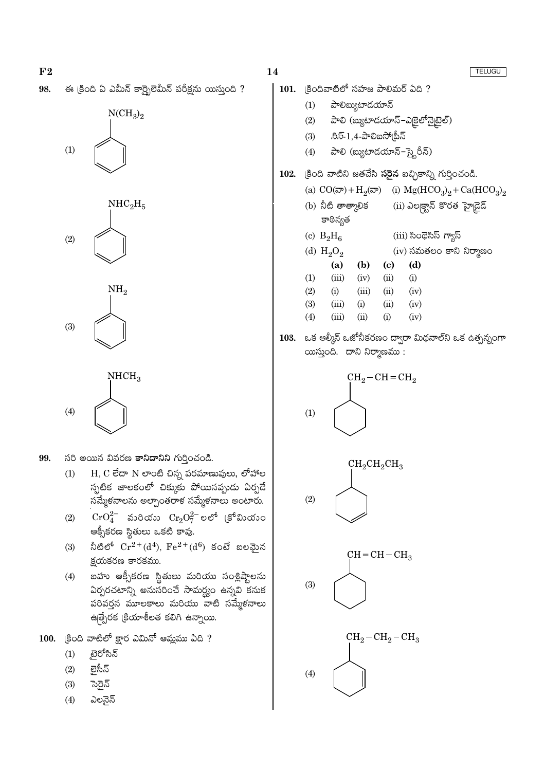









- 99. సరి అయిన వివరణ కానిదానిని గుర్తించండి.
	- $H, C$  లేదా  $N$  లాంటి చిన్న పరమాణువులు, లోహాల  $(1)$ స్పటిక జాలకంలో చిక్కుకు పోయినప్పుడు ఏర్పడే సమ్మేకనాలను అల్పాంతరాక సమ్మేకనాలు అంటారు.
	- $\mathrm{CrO}_4^{2-}$  మరియు  $\mathrm{Cr}_2\mathrm{O}_7^{2-}$ లలో (కోమియుం  $(2)$ ఆక్సీకరణ స్థితులు ఒకటి కావు.
	- నీటిలో  $Cr^{2+}(d^4)$ ,  $Fe^{2+}(d^6)$  కంటే బలమైన  $(3)$ క్షయకరణ కారకము.
	- బహు ఆక్సీకరణ స్థితులు మరియు సంశ్లిష్టాలను  $(4)$ ఏర్పరచటాన్ని అనుసరించే సామర్థ్యం ఉన్నవి కనుక పరివర్తన మూలకాలు మరియు వాటి సమ్మేళనాలు ఉత్పేరక క్రియాశీలత కలిగి ఉన్నాయి.
- $100.$   $|8$ oది వాటిలో క్లార ఎమినో ఆమ్లము ఏది ?
	- ్టైరోసిన్  $(1)$
	- లెసీన్  $(2)$
	- $(3)$ స్తెన్
	- $(4)$ ఎలనైన్

- 101. (కిందివాటిలో సహజ పాలిమర్ ఏది ? పాలిబ్యుటాదయాన్  $(1)$ 
	- పాలి (బ్యుటాడయాన్-ఎక్రైలోన్నైటైల్)  $(2)$
	- $\partial\bar{z}\bar{5}$ -1,4-పాలిఐసో $|\r$ పీన్  $(3)$
	- పాలి (బ్యుటాడయాన్-స్టైరీన్)  $(4)$

#### క్రింది వాటిని జతచేసి **సరైన** ఐచ్చికాన్ని గుర్తించండి. 102.

- (i)  $Mg(HCO_3)_2 + Ca(HCO_3)_2$ (a)  $CO(\overline{\omega}) + H_2(\overline{\omega})$
- (b) నీటి తాత్కాలిక  $(ii)$  ఎల్కక్టాన్ కొరత హైద్దెడ్ కాఠిన్యత (c)  $B_2H_6$ (iii) సింథెసిస్ గ్యాస్ (d)  $H_2O_2$  $(iv)$  సమతలం కాని నిర్మాణం
- $(a)$  $(b)$  $\left( \mathrm{e}\right)$  $(d)$  $(1)$  $(iii)$  $(iv)$  $(ii)$  $(i)$  $(2)$  $(i)$  $(iii)$  $(ii)$  $(iv)$  $(3)$  $(iii)$  $(i)$  $(ii)$  $(iv)$  $(4)$  $(iii)$  $(ii)$  $(i)$  $(iv)$
- 103. ఒక ఆల్మీన్ ఒజోనీకరణం ద్వారా మిథనాల్ని ఒక ఉత్పన్నంగా యిస్తుంది. దాని నిర్మాణము:

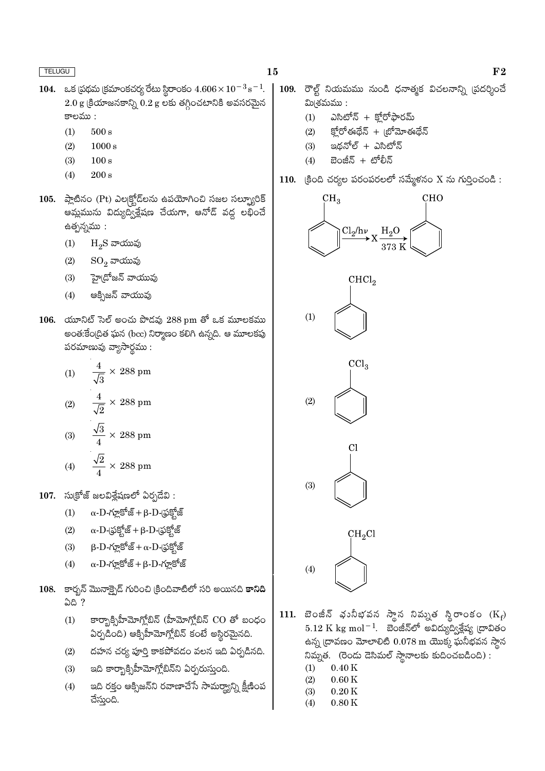- 104. ఒక ప్రథమ క్రమాంకచర్య రేటు స్థిరాంకం  $4.606 \times 10^{-3}$  s<sup>-1</sup>.  $2.0$  g క్రియాజనకాన్ని  $0.2$  g లకు తగ్గించటానికి అవసరమైన కాలము :
	- $500 s$  $(1)$
	- $(2)$  $1000 s$
	- $(3)$  $100 s$
	- $(4)$  $200 s$
- 105. ప్లాటినం (Pt) ఎల్కక్టోడ్లను ఉపయోగించి సజల సల్బ్యూరిక్ ఆమ్లమును విద్యుద్విక్లేషణ చేయగా, ఆనోడ్ వద్ద లభించే ఉత్పన్నము :
	- $(1)$  $H_2S$  వాయువు
	- $SO_2$  వాయువు  $(2)$
	- హై(దోజన్ వాయువు  $(3)$
	- ఆక్సిజన్ వాయువు  $(4)$
- 106. యూనిట్ సెల్ అంచు పొడవు  $288$  pm తో ఒక మూలకము అంత:కేంద్రిత ఘన (bcc) నిర్మాణం కలిగి ఉన్నది. ఆ మూలకపు పరమాణువు వ్యాసార్థము:

(1) 
$$
\frac{4}{\sqrt{3}} \times 288 \text{ pm}
$$
  
(2) 
$$
\frac{4}{\sqrt{2}} \times 288 \text{ pm}
$$
  
(3) 
$$
\frac{\sqrt{3}}{4} \times 288 \text{ pm}
$$
  
(4) 
$$
\frac{\sqrt{2}}{4} \times 288 \text{ pm}
$$

- $107.$  సుక్రోజ్ జలవిశ్లేషణలో ఏర్పడేవి:
	- $\alpha$ -D-గ్లూకోజ్ + β-D-(ఫక్హోజ్  $(1)$
	- $\alpha$ - $D$ -(ఫక్హోజ్ +  $\beta$ - $D$ -(ఫక్హోజ్  $(2)$
	- $\beta$ - $D$ -గూ్లకోజ్ $+\alpha$ - $D$ -(ఫకోజ్  $(3)$
	- $\alpha$ -D-గ్లూకోజ్ + β-D-గ్లూకోజ్  $(4)$
- 108. కార్బన్ మొనాక్పైడ్ గురించి క్రిందివాటిలో సరి అయినది కానిది **ఏది** ?
	- కార్బాక్సిహీమోగ్లోబిన్ (హీమోగ్లోబిన్  $CO$  తో బంధం  $(1)$ ఏర్పడింది) ఆక్సిహీమోగ్లోబిన్ కంటే అస్థిరమైనది.
	- దహన చర్య పూర్తి కాకపోవడం వలన ఇది ఏర్పడినది.  $(2)$
	- ఇది కార్బాక్సిహీమోగ్లోబిన్ని ఏర్పరుస్తుంది.  $(3)$
	- ఇది రక్తం ఆక్సిజన్ని రవాణాచేసే సామర్థ్యాన్ని క్షీణింప  $(4)$ చేస్తుంది.
- $109.$  రౌల్ట్ నియమము నుండి ధనాత్మక విచలనాన్ని (పదర్శించే మి(శమము :
	- ఎసిటోన్ + కోరోఫారమ్  $(1)$
	- క్హోరోఈథేన్ + బ్రోమోఈథేన్  $(2)$
	- ఇథనోల్ + ఎసిటోన్  $(3)$
	- బెంజీన్ + టోలీన్  $(4)$
- 110. క్రింది చర్యల పరంపరలలో సమ్మేళనం X ను గుర్తించండి:



- 111. బెంజీన్ భునీభవన స్థాన నివ్నుత స్థిరాంకం  $(K_f)$  $5.12 \text{ K} \text{ kg} \text{ mol}^{-1}$ . బెంజీన్లో అవిద్యుద్విశ్లేష్య ద్రావితం ఉన్న ద్రావణం మోలాలిటి  $0.078$  m యొక్క ఘనీభవన స్థాన నిమ్నత. (రెండు దెసిమల్ స్థానాలకు కుదించబడింది) :
	- $(1)$  $0.40K$
	- $(2)$  $0.60K$
	- $0.20K$  $(3)$
	- $0.80K$  $(4)$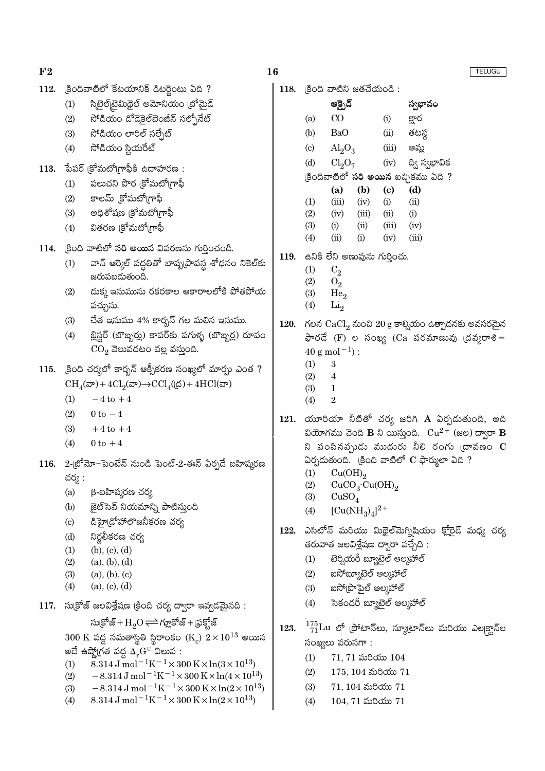- $112.$  கூலகெல்லீ சீல்ஸ்லித் ஃல்ஜ்லல் மெ.?
	- $(1)$ సిటైల్[టెమిథైల్ అమోనియం (బోమైడ్
	- సోడియం డోడెకైల్ఐెంజీన్ సల్ఫోనేట్  $(2)$
	- సోడియం లారిల్ సల్చేట్  $(3)$
	- సోడియం స్టియరేట్  $(4)$
- $113.$  పేపర్ (కోమటో(గాఫీకి ఉదాహరణ:
	- పలుచని పొర (కోమటో(గాఫీ  $(1)$
	- కాలమ్ (కోమటో(గాఫీ  $(2)$
	- అధిశోషణ (కోమటో(గాఫీ  $(3)$
	- వితరణ ।కోమటో।గాఫీ  $(4)$

114. (కింది వాటిలో సరి అయిన వివరణను గుర్తించండి.

- వాన్ ఆర్కెల్ పద్ధతితో బాష్నట్రావస్థ శోధనం నికెల్కు  $(1)$ జరుపబడుతుంది.
- దుక్క ఇనుమును రకరకాల ఆకారాలలోకి పోతపోయ  $(2)$ వచ్చును.
- చేత ఇనుము 4% కార్భన్ గల మలిన ఇనుము.  $(3)$
- బ్లిస్టర్ (బొబ్బర్లు) కాపర్కు పగుళ్ళ (బొబ్బర్ల) రూపం  $(4)$  $CO<sub>2</sub>$  వెలువడటం వల్ల వస్తుంది.
- 115. క్రింది చర్యలో కార్బన్ ఆక్సీకరణ సంఖ్యలో మార్చు ఎంత ?  $CH_{4}(\mathcal{F}) + 4Cl_{2}(\mathcal{F}) \rightarrow CCl_{4}(\mathcal{F}) + 4HCl(\mathcal{F})$ 
	- $(1)$  $-4$  to  $+4$
	- $(2)$  $0 \text{ to } -4$
	- $(3)$  $+4$  to  $+4$
	- $(4)$  $0$  to  $+4$
- 116. 2-బ్రోమో-పెంటేన్ నుండి పెంట్-2-ఈన్ ఏర్పడే బహిష్కరణ చర్య :
	- β-బహిషురణ చర్య  $(a)$
	- జైట్ సెవ్ నియమాన్ని పాటిస్తుంది  $(b)$
	- డిహై(దోహాలొజనీకరణ చర్య  $(c)$
	- నిర్టలీకరణ చర్య  $(d)$
	- $(b), (c), (d)$  $(1)$
	- $(2)$  $(a), (b), (d)$
	- $(3)$  $(a), (b), (c)$
	- $(4)$  $(a), (c), (d)$
- 117. సుక్రోజ్ జలవిశ్లేషణ క్రింది చర్య ద్వారా ఇవ్వడమైనది :

సుక్రోజ్ + $H_2O \rightleftharpoons$ గ్లూకోజ్ + (ఫక్హోజ్  $300 \text{ K}$  వద్ద సమతాస్థితి స్థిరాంకం  $(\text{K}_c) \ 2 \times 10^{13}$  అయిన అదే ఉష్ణో(గత వద్ద  $\Delta_r\mathbf{G}^\ominus$  విలువ :

- $8.314 \text{ J} \text{ mol}^{-1} \text{K}^{-1} \times 300 \text{ K} \times \ln(3 \times 10^{13})$  $(1)$
- $(2)$  $-8.314 \,\mathrm{J}$  mol<sup>-1</sup>K<sup>-1</sup>×300 K×ln(4×10<sup>13</sup>)
- $-8.314 J \text{ mol}^{-1} \text{K}^{-1} \times 300 \text{ K} \times \ln(2 \times 10^{13})$  $(3)$
- 8.314 J mol<sup>-1</sup>K<sup>-1</sup> × 300 K × ln(2 × 10<sup>13</sup>)  $(4)$

 $118.$   $|300 \text{ m} \text{m}\$ ನಿ జతచేయండి:

- ఆక్సైడ్ స్వభావం  $CO$  $(a)$ క్లార  $(i)$  $(b)$ **BaO**  $(ii)$ తటస్ ఆమ్త  $\left( \mathrm{c}\right)$  $\text{Al}_9\text{O}_9$  $(iii)$  $(d)$  $Cl<sub>2</sub>O<sub>7</sub>$ ద్వి స్వభావిక  $(iv)$ (కిందివాటిలో **సరి అయిన** ఐచ్చికము ఏది ?  $(a)$  $(b)$  $(c)$  $(d)$  $(1)$  $(iii)$  $(iv)$  $(i)$  $(ii)$  $(2)$  $(iv)$  $(iii)$  $(ii)$  $(i)$  $(3)$  $(i)$  $(ii)$  $(iii)$  $(iv)$  $(4)$  $(iii)$  $(ii)$  $(i)$  $(iv)$ 119. ఉనికి లేని అణువును గుర్తించు.
	- $(1)$  $C<sub>2</sub>$
	- $(2)$  $O<sub>2</sub>$
	- $(3)$  $He<sub>2</sub>$
	- $(4)$  $Li<sub>2</sub>$

### 120. గలన  $CaCl<sub>2</sub>$  నుంచి 20 g కాల్సియం ఉత్పాదనకు అవసరమైన  $\frac{1}{2}$ లేద (F) ల సంఖ్య (Ca పరమాణువు (దవ్యరాశి =  $40 \text{ g mol}^{-1}$ :

- $(1)$ 3
- $(2)$  $\overline{4}$  $(3)$  $\mathbf{1}$
- $(4)$  $\overline{2}$
- 121. యూరియా నీటితో చర్య జరిగి A ఏర్పడుతుంది, అది వియోగము చెంది B ని యిస్తుంది.  $\rm Cu^{2+}$  (జల) ద్వారా B ని పంపినపృుడు ముదురు నీలి రంగు (దావణం  $\mathbf C$ ఏర్పడుతుంది. (కింది వాటిలో  $C$  ఫార్ములా ఏది ?
	- $Cu(OH)<sub>2</sub>$  $(1)$
	- $(2)$  $CuCO<sub>3</sub>·Cu(OH)<sub>2</sub>$
	- $(3)$  $CuSO<sub>4</sub>$
	- $[Cu(NH<sub>2</sub>)<sub>4</sub>]<sup>2+</sup>$  $(4)$
- ఎసిటోన్ మరియు మిథైల్మెగ్నిషియం క్లోరైడ్ మధ్య చర్య 122. తరువాత జలవిశ్లేషణ ద్వారా వచ్చేది :
	- టెర్వియరీ బ్యూటెల్ ఆలుహాల్  $(1)$
	- ఐసోబ్యూటెల్ ఆల్కహాల్  $(2)$
	- ఐసోట్రాపైల్ ఆల్మహాల్  $(3)$
	- సెకండరీ బ్యూటెల్ ఆలుహాల్  $(4)$
- $^{175}_{71} \rm{Lu}$  లో (పోటాన్లు, న్యూటాన్లు మరియు ఎల|క్టాన్ల 123. సంఖ్యలు వరుసగా :
	- $71, 71$  మరియు  $104$  $(1)$
	- $175, 104$  మరియు  $71$  $(2)$
	- $(3)$  $71, 104$  మరియు  $71$
	- $(4)$  $104, 71$  మరియు  $71$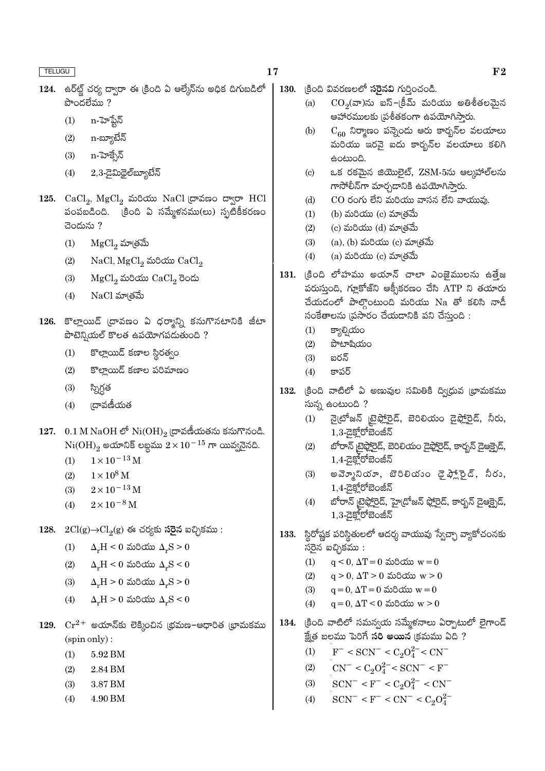- 124. ఉర్**ట్ట్ చర్య ద్వారా ఈ క్రింది** ఏ ఆల్మేన్**ను అధిక దిగుబ**డిలో పొందలేము ?
	- $(1)$ n-హెప్టేన్
	- n-బ్యూటేన్  $(2)$
	- n-హెక్సేన్  $(3)$
	- $2,3$ -డైమిథైల్ బ్యూటేన్  $(4)$
- 125. CaCl<sub>2</sub>, MgCl<sub>2</sub> మరియు NaCl ద్రావణం ద్వారా HCl పంపబడింది. క్రింది ఏ సమ్మేళనము(లు) స్పటికీకరణం చెందును?
	- $(1)$  $MgCl<sub>2</sub>$  మాత్రమే
	- $NaCl, MgCl<sub>2</sub>$  మరియు  $CaCl<sub>2</sub>$  $(2)$
	- $MgCl<sub>2</sub>$  మరియు  $CaCl<sub>2</sub>$  రెండు  $(3)$
	- $NaCl$  మా $\check{\mathfrak{so}}$  $(4)$
- 126. కొల్లాయిడ్ (దావణం ఏ ధర్మాన్ని కనుగొనటానికి జీటా పొటెన్షియల్ కొలత ఉపయోగపడుతుంది ?
	- కొల్లాయిడ్ కణాల స్థిరత్వం  $(1)$
	- కొల్తాయిడ్ కణాల పరిమాణం  $(2)$
	- $(3)$ స్నిగ్గత
	- ౹దావణీయత  $(4)$
- 127. 0.1 M NaOH లో  $\mathrm{Ni(OH)}_2$  ద్రావణీయతను కనుగొనండి.  $Ni(OH)_{2}$  అయానిక్ లబ్ధము  $2 \times 10^{-15}$  గా యివ్వనేది.
	- $1 \times 10^{-13}$  M  $(1)$
	- $1\times10^8$  M  $(2)$
	- $2 \times 10^{-13}$  M  $(3)$
	- $(4)$  $2\times10^{-8}$  M
- 128.  $2Cl(g) \rightarrow Cl_2(g)$  ఈ చర్యకు సరైన ఐచ్చికము:
	- $\Delta_r H < 0$  మరియు  $\Delta_r S > 0$  $(1)$
	- $\Delta_r H \leq 0$  మరియు  $\Delta_r S \leq 0$  $(2)$
	- $\Delta_r H > 0$  మరియు  $\Delta_r S > 0$  $(3)$
	- $\Delta_r H > 0$  మరియు  $\Delta_r S < 0$  $(4)$
- 129.  $\mathrm{Cr^{2+}}$  అయాన్కు లెక్మించిన (భమణ-ఆధారిత (భామకము  $(spin only)$ :
	- $(1)$ 5.92 BM
	- 2.84 BM  $(2)$
	- 3.87 BM  $(3)$
	- 4.90 BM  $(4)$
- 130. (కింది వివరణలలో సరైనవి గుర్తించండి.
	- $CO<sub>2</sub>(a)$ ను ఐస్–క్రీమ్ మరియు అతిశీతలమైన  $(a)$ ఆహారములకు వుశీతకంగా ఉపయోగిస్తారు.
	- $C_{60}$  నిర్మాణం పన్నెందు ఆరు కార్బన్ల వలయాలు  $(b)$ మరియు ఇరవై ఐదు కారృన్ల వలయాలు కలిగి ఉంటుంది.
	- ఒక రకమైన జియొలైట్, ZSM-5ను ఆల్కహాల్లను  $(c)$ గాసోలీన్గా మార్చడానికి ఉపయోగిస్తారు.
	- $CO$  రంగు లేని మరియు వాసన లేని వాయువు.  $(d)$
	- (b) మరియు $(c)$  మా $(e)$  $(1)$
	- $(2)$  $(c)$  మరియు  $(d)$  మా $(d)$
	- $(a)$ ,  $(b)$  మరియు  $(c)$  మాత్రమే  $(3)$
	- $(a)$  మరియు $(c)$  మాత్రమే  $(4)$
- 131. క్రింది లోహము అయాన్ చాలా ఎంజైములను ఉత్తేజ పరుస్తుంది, గ్లూకోజ్ని ఆక్సీకరణం చేసి ATP ని తయారు చేయడంలో పాల్గొంటుంది మరియు Na తో కలిసి నాడీ సంకేతాలను (పసారం చేయడానికి పని చేస్తుంది :
	- క్యాల్సియం  $(1)$
	- $(2)$ పొటాషియం
	- ఐగన్  $(3)$
	- కాపర్  $(4)$
- 132. క్రింది వాటిలో ఏ అణువుల సమితికి ద్విధువ *ట్రామ*కము సున్న ఉంటుంది?
	- నైటోజన్ బైఫ్లోరైడ్, బెరిలియం డైఫ్లోరైడ్, నీరు,  $(1)$  $1,3$ - $\overline{a}$ క్తోరోబెంజీన్
	- బోరాన్ టైఫ్లోరైడ్, బెరిలియం డైఫ్లోరైడ్, కార్బన్ డైఆక్సైడ్,  $(2)$  $1,4$ -යූපූ්රේඞංෂ් $5$
	- అవె్మూనియా, బెరిలియం డైఫ్ల్లారైడ్, నీరు,  $(3)$  $1.4$ - $\overline{a}$ కోరోబెంజీన్
	- బోరాన్ బైఫ్లోరైడ్, హైడ్రోజన్ ఫ్లోరైడ్, కార్బన్ డైఆక్సైడ్,  $(4)$  $1,3$ -යූ පූර්භී බංෂ් $5$
- 133. స్థిరోష్ణక పరిస్థితులలో ఆదర్శ వాయువు స్వేచ్ఛా వ్యాకోచంనకు సరైన ఐచ్చికము :
	- $q < 0$ ,  $\Delta T = 0$  మరియు  $w = 0$  $(1)$
	- $q > 0$ ,  $\Delta T > 0$  మరియు  $w > 0$  $(2)$
	- $(3)$  $q = 0$ ,  $\Delta T = 0$  మరియు  $w = 0$
	- $(4)$  $q = 0$ ,  $\Delta T < 0$  మరియు  $w > 0$
- 134. క్రింది వాటిలో సమన్వయ సమ్మేళనాలు ఏర్పాటులో లైగాండ్ క్షేత బలము పెరిగే **సరి అయిన** (కమము ఏది ?
	- $F^-$  < SCN<sup>-</sup> < C<sub>2</sub>O<sub>4</sub><sup>2</sup><sup>-</sup>< CN<sup>-</sup>  $(1)$
	- $CN^{-} < C_2O_4^{2-} < SCN^{-} < F^{-}$  $(2)$
	- $SCN^- < F^- < C_2O_4^{2-} < CN^ (3)$
	- $SCN^- < F^- < CN^- < C_2O_4^{2-}$  $(4)$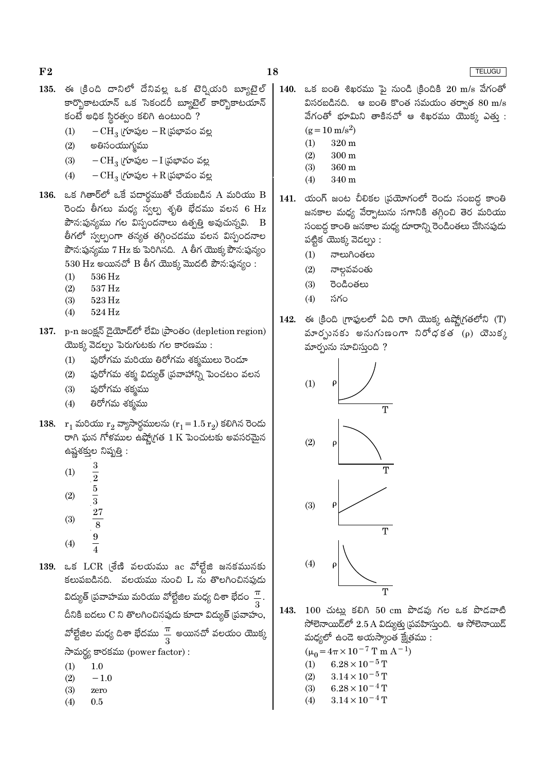- 135. ఈ క్రింది దానిలో దేనివల్ల ఒక టెర్వియరి బ్యూటైల్ కార్బొకాటయాన్ ఒక సెకండరీ బ్యూటెల్ కార్బొకాటయాన్ కంటే అధిక స్థిరత్వం కలిగి ఉంటుంది ?
	- $-CH_3$  (గూపుల $-R$  (పభావం వల్ల  $(1)$
	- $(2)$ అతిసంయుగ్మము
	- $-CH_3$  (గూపుల $-I$  (పభావం వల్ల  $(3)$
	- $-CH_3$  (గూపుల + $R$  (పభావం వల్ల  $(4)$
- 136. ఒక గితార్లో ఒకే పదార్థముతో చేయబడిన A మరియు B రెండు తీగలు మధ్య స్వల్ప శృతి భేదము వలన 6 Hz  $\vec{a}$ సి:పున్యము గల విస్సందనాలు ఉత్పత్తి అవుచున్నవి. B తీగలో స్వల్పంగా తన్యత తగ్గించడము వలన విస్పందనాల పౌన:పున్యము 7 Hz కు పెరిగినది. A తీగ యొక్క పౌన:పున్యం  $530$   $Hz$  అయినచో  $B$  తీగ యొక్క మొదటి పౌన:పున్యం:
	- 536 Hz  $(1)$
	- $(2)$ 537 Hz
	- $(3)$ 523 Hz
	- 524 Hz  $(4)$
- 137. p-n జంక్షన్ డైయోడ్లో లేమి ప్రాంతం (depletion region)  $\overline{c}$ యొక్క వెడల్పు పెరుగుటకు గల కారణము:
	- $(1)$ పురోగమ మరియు తిరోగమ శక్మములు రెండూ
	- $(2)$ పురోగమ శక్మ విద్యుత్ (పవాహాన్ని పెంచటం వలన
	- $(3)$ ఫురోగమ శక్మము
	- తిరోగమ శక్మము  $(4)$
- 138.  $r_1$  మరియు  $r_2$  వ్యాసార్థములను  $(r_1 = 1.5 r_2)$  కలిగిన రెండు రాగి ఘన గోళముల ఉష్మోగత  $1\,\mathrm{K}$  పెంచుటకు అవసరమైన ఉష్ణశక్తుల నిష్పత్తి :
	- $\boldsymbol{3}$  $(1)$  $\overline{2}$
	- $\frac{5}{3}$
	- $(2)$
	- $\frac{27}{8}$  $(3)$
	- $\frac{9}{4}$
	- $(4)$
- 139. ఒక LCR (శేణి వలయము ac వోల్టేజి జనకమునకు కలుపబడినది. వలయము నుంచి L ను తొలగించినపుడు విద్యుత్ (పవాహము మరియు వోల్టేజిల మధ్య దిశా భేదం దీనికి బదలు C ని తొలగించినపుడు కూడా విద్యుత్ (పవాహం, వోల్టేజిల మధ్య దిశా భేదము $\frac{\pi}{3}$  అయినచో వలయం యొక్క సామర్థ్య కారకము (power factor):
	- $(1)$  $1.0$
	- $(2)$  $-1.0$
	- $(3)$ zero
	- $(4)$  $0.5$
- $20$   $\mu$ /s and  $30$   $\mu$  and  $30$   $\mu$ /s  $30$   $\mu$ /s  $30$ 140. విసరబడినది. ఆ బంతి కొంత సమయం తర్వాత  $80 \text{ m/s}$ వేగంతో భూమిని తాకినచో ఆ శిఖరము యొక $y$  ఎతు :  $(g = 10 \text{ m/s}^2)$ 
	- $(1)$ 320 m
	- $(2)$  $300<sub>m</sub>$
	- $(3)$ 360 m  $(4)$ 340 m
- 141. యంగ్ జంట చీలికల (పయోగంలో రెండు సంబద్ధ కాంతి జనకాల మధ్య వేర్పాటును సగానికి తగ్గించి తెర మరియు సంబద్ధ కాంతి జనకాల మధ్య దూరాన్ని రెండింతలు చేసినపుడు పట్టిక యొక్క వెదల్సు:
	- నాలుగింతలు  $(1)$
	- నాల్గవవంతు  $(2)$
	- $(3)$ రెండింతలు
	- $(4)$ సగం
- ఈ క్రింది గ్రాఫులలో ఏది రాగి యొక్క ఉష్ణోగ్రతలోని (T) 142. మారృునకు అనుగుణంగా నిరోధకత  $(\rho)$  యెుక్క మార్చును సూచిస్తుంది ?



143. 100 చుట్లు కలిగి 50 cm పొడవు గల ఒక పొడవాటి సోలెనాయిడ్లో  $2.5$  A విద్యుత్తు (పవహిస్తుంది. ఆ సోలెనాయిడ్ మధ్యలో ఉండె అయస్కాంత క్షేత్రము :

 $(\mu_0 = 4\pi \times 10^{-7} \text{ T m A}^{-1})$ 

- $6.28 \times 10^{-5}$  T  $(1)$
- $3.14 \times 10^{-5}$  T  $(2)$
- $6.28 \times 10^{-4}$  T  $(3)$
- $3.14 \times 10^{-4}$  T  $(4)$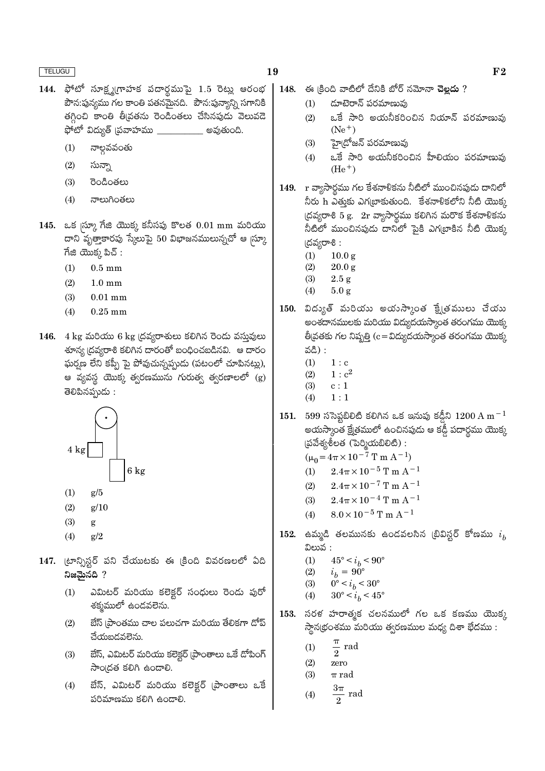- 144. ఫోటో సూక్ష్మగ్రాహక పదార్థముపై 1.5 రెట్లు ఆరంభ పౌన:పున్యము గల కాంతి పతనమైనది. పౌన:పున్యాన్ని సగానికి తగ్గించి కాంతి తీవ్రతను రెండింతలు చేసినపుడు వెలువడె ఫోటో విద్యుత్ (పవాహము  $\_$ <u>\_\_\_\_\_</u> అవుతుంది.
	- నాల్గవవంతు  $(1)$
	- సున్నా  $(2)$
	- $(3)$ రెండింతలు
	- $(4)$ నాలుగింతలు
- 145. ఒక  $\ket{\mathrm{\tilde{\omega}}\mathrm{y}}$  గేజి యొక్క కనీసపు కొలత  $0.01\ \mathrm{mm}$  మరియు దాని వృత్తాకారపు స్కేలుపై 50 విభాజనములున్నచో ఆ $|$ స్కూ  $\vec{a}$ జి యొక్క పిచ్ :
	- $0.5$  mm  $(1)$
	- $(2)$  $1.0 \text{ mm}$
	- $(3)$  $0.01$  mm
	- $(4)$  $0.25$  mm
- 146.  $4 \text{ kg}$  మరియు  $6 \text{ kg}$  (దవ్యరాశులు కలిగిన రెండు వస్తువులు శూన్య (దవ్యరాశి కలిగిన దారంతో బంధించబడినవి. ఆ దారం ఘర్మణ లేని కప్పీ పై పోవుచున్నప్పుడు (పటంలో చూపినట్లు), ఆ వ్యవస్థ యొక్క త్వరణమును గురుత్వ త్వరణాలలో (g) తెలిపినప్పుడు :



- $(1)$  $g/5$
- $(2)$  $g/10$
- $(3)$ g
- $(4)$  $g/2$
- 147. (టాన్సిస్టర్ పని చేయుటకు ఈ క్రింది వివరణలలో ఏది నిజమైనది ?
	- ఎమిటర్ మరియు కలెక్టర్ సంధులు రెండు పురో  $(1)$ శక్మములో ఉండవలెను.
	- బేస్ (పాంతము చాల పలుచగా మరియు తేలికగా డోప్  $(2)$ చేయబడవలెను.
	- బేస్, ఎమిటర్ మరియు కలెక్టర్ (పాంతాలు ఒకే దోపింగ్  $(3)$ సాంద్రత కలిగి ఉండాలి.
	- బేస్, ఎమిటర్ మరియు కలెక్టర్ (పాంతాలు ఒకే  $(4)$ పరిమాణము కలిగి ఉందాలి.
- ఈ కింది వాటిలో దేనికి బోర్ నమోనా **చెల్లదు** ? 148.
	- దూటెరాన్ పరమాణువు  $(1)$
	- ఒకే సారి అయనీకరించిన నియాన్ పరమాణువు  $(2)$  $(Ne^+)$
	- $(3)$ హై(దోజన్ పరమాణువు
	- ఒకే సారి అయనీకరించిన హీలియం పరమాణువు  $(4)$  $(He<sup>+</sup>)$
- 149. r వ్యాసార్ధము గల కేశనాళికను నీటిలో ముంచినపుడు దానిలో నీరు h ఎతుకు ఎగ్నబాకుతుంది. కేశనాళికలోని నీటి యొక్క  $\lfloor \text{0.2cm} \rfloor$ రం 5 g. 2r వ్యాసార్థము కలిగిన మరొక కేశనాళికను నీటిలో ముంచినపుడు దానిలో పైకి ఎగ్(బాకిన నీటి యొక్క (దవ్యరాశి:
	- $(1)$  $10.0<sub>g</sub>$
	- $(2)$  $20.0 g$
	- $2.5\,\mathrm g$  $(3)$  $(4)$  $5.0 g$
- 150. విద్యుత్ మరియు అయస్కాంత క్టే(తములు చేయు అంశదానములకు మరియు విద్యుదయస్కాంత తరంగము యొక్క తీవ్రతకు గల నిష్పత్తి (c = విద్యుదయస్మాంత తరంగము యొక్క వడి) :
	- $(1)$  $1 : c$
	- $(2)$  $1: c^2$
	- $(3)$  $\ensuremath{\mathbf{c}}\xspace:1$
	- $(4)$  $1:1$
- 151. 599 ససెప్టటిలిటి కలిగిన ఒక ఇనుపు కడ్డీని  $1200 \text{ A m}^{-1}$ అయస్కాంత క్షేత్రములో ఉంచినపుడు ఆ కడ్డీ పదార్థము యొక్క  $\S$ చవేశ్యశీలత (పెర్మియబిలిటి):

 $(\mu_0 = 4\pi \times 10^{-7} \text{ T m A}^{-1})$ 

- $2.4\pi \times 10^{-5}$  T m A<sup>-1</sup>  $(1)$
- $2.4\pi \times 10^{-7}$  T m A<sup>-1</sup>  $(2)$
- $2.4\pi \times 10^{-4}$  T m A<sup>-1</sup>  $(3)$
- $(4)$  $8.0 \times 10^{-5}$  T m A<sup>-1</sup>
- $\,$  152. ఉమ్మడి తలమునకు ఉండవలసిన (బివిస్టర్ కోణము  $\,i_{h}\,$ విలువ :
	- $45^{\circ} < i_h < 90^{\circ}$  $(1)$
	- $(2)$  $i_b = 90^{\circ}$
	- $0^{\circ} < i_b < 30^{\circ}$  $(3)$
	- $(4)$  $30^{\circ} < i_b < 45^{\circ}$
- సరళ హరాత్మక చలనములో గల ఒక కణము యొక్క 153. స్థాన(భంశము మరియు త్వరణముల మధ్య దిశా భేదము :
	- $\frac{\pi}{ }$  rad  $(1)$
	- $\mathfrak{D}$  $(2)$ zero
	- $(3)$  $\pi$  rad

$$
(4) \qquad \frac{3\pi}{2} \text{ rad}
$$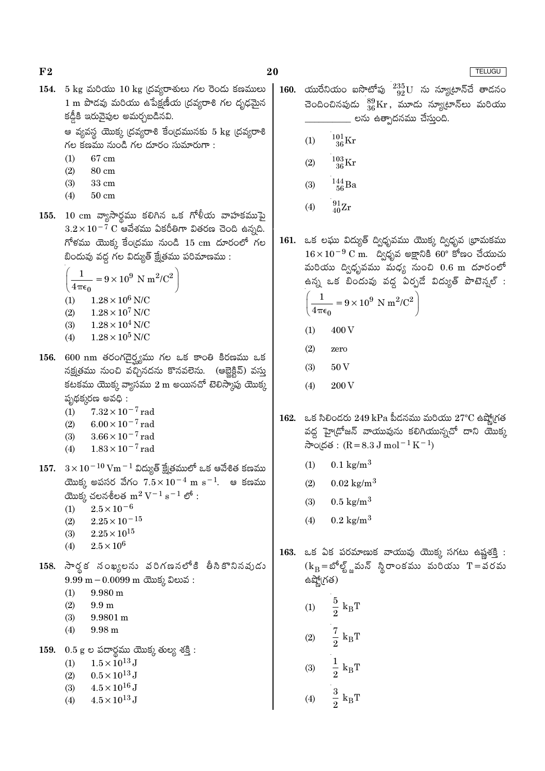20

154. 5 kg మరియు 10 kg (దవ్యరాశులు గల రెండు కణములు 1 m పొడవు మరియు ఉపేక్షణీయ (దవ్యరాశి గల దృఢమైన కడ్డీకి ఇరువైపుల అమర్చబడినవి.

> ఆ వ్యవస్థ యొక్క (దవ్యరాశి కేం(దమునకు 5 kg (దవ్యరాశి గల కణము నుండి గల దూరం సుమారుగా:

67 cm  $(1)$ 

 $F<sub>2</sub>$ 

- $(2)$ 80 cm
- $(3)$ 33 cm
- $(4)$  $50 \text{ cm}$
- 155. 10 cm వ్యాసార్ధము కలిగిన ఒక గోళీయ వాహకముపై  $3.2\times10^{-7}$   $\rm C$  ఆవేశము ఏకరీతిగా వితరణ చెంది ఉన్నది.  $f$ ోళము యొక్క కేంద్రము నుండి 15 cm దూరంలో గల బిందువు వద్ద గల విద్యుత్ క్షేత్రము పరిమాణము :

$$
\left(\frac{1}{4\pi\epsilon_0} = 9 \times 10^9 \text{ N m}^2/\text{C}^2\right)
$$
  
(1) 1.28 × 10<sup>6</sup> N/C  
(2) 1.28 × 10<sup>7</sup> N/C  
(3) 1.28 × 10<sup>4</sup> N/C

- $1.28\times10^5$  N/C  $(4)$
- 156. 600 nm తరంగదైర్ష్యము గల ఒక కాంతి కిరణము ఒక నక్ష్మతము నుంచి వచ్చినదను కొనవలెను. (ఆబ్లెక్టివ్) వస్తు కటకము యొక్క వ్యాసము 2 m అయినచో టెలిస్కాపు యొక్క పృథక్కరణ అవధి:
	- $(1)$  $7.32 \times 10^{-7}$  rad
	- $6.00 \times 10^{-7}$  rad  $(2)$
	- $(3)$  $3.66 \times 10^{-7}$  rad
	- $1.83 \times 10^{-7}$  rad  $(4)$
- 157.  $3 \times 10^{-10}$  Vm  $^{-1}$  విద్యుత్ క్షేత్రములో ఒక ఆవేశిత కణము యొక్క అపసర వేగం  $7.5 \times 10^{-4}$  m s<sup>-1</sup>. ఆ కణము యొక్క చలనశీలత  $m^2 V^{-1} s^{-1}$ లో:
	- $2.5 \times 10^{-6}$  $(1)$
	- $(2)$  $2.25 \times 10^{-15}$
	- $2.25 \times 10^{15}$  $(3)$
	- $2.5\times10^6$  $(4)$
- 158. సార్థక నంఖ్యలను వరిగణనలోకి తీసికొనినవుడు  $9.99 \text{ m} - 0.0099 \text{ m}$  ctos 2 කාර් :
	- $(1)$  $9.980 \text{ m}$
	- $(2)$  $9.9<sub>m</sub>$
	- $(3)$  $9.9801 m$
	- $(4)$  $9.98<sub>m</sub>$
- 159.  $0.5$  g e పదార్థము యొక్క తుల్య శక్తి:
	- $1.5 \times 10^{13}$  J  $(1)$
	- $0.5 \times 10^{13}$  J  $(2)$
	- $4.5 \times 10^{16}$  J  $(3)$
	- $4.5\times10^{13}\,\mathrm{J}$  $(4)$
- యురేనియం ఐసొటోపు  $^{235}_{92}{\rm U}$  ను న్యూట్రాన్చే తాడనం 160. చెందించినపుడు  ${}^{89}_{36}\mathrm{Kr}$ , మూడు న్యూట్రాన్లు మరియు \_\_ లను ఉత్పాదనము చేస్తుంది.
	- $^{101}_{36}$ Kr  $(1)$
	- $^{103}_{\phantom{1}36}\mathrm{Kr}$  $(2)$
	- $^{144}_{56}$ Ba  $(3)$
	- $^{91}_{40}Zr$  $(4)$
- 161. ఒక లఘు విద్యుత్ ద్విధృవము యొక్క ద్విధృవ (భామకము  $16 \times 10^{-9}$  C m. ద్విధృవ అక్షానికి 60° కోణం చేయుచు మరియు ద్విధృవము మధ్య నుంచి 0.6 m దూరంలో ఉన్న ఒక బిందువు వద్ద ఏర్పడే విద్యుత్ పొటెన్వల్ :

$$
\left(\frac{1}{4\pi\epsilon_0} = 9 \times 10^9 \text{ N m}^2/\text{C}^2\right)
$$

- 400 V  $(1)$
- $(2)$ zero
- $(3)$  $50V$
- 200 V  $(4)$
- 162. ఒక సిలిండరు 249 kPa పీడనము మరియు 27°C ఉష్ణోగ్రత వద్ద హై(దోజన్ వాయువును కలిగియున్నచో దాని యొక్క సాంద్రత:  $(R = 8.3 J \text{ mol}^{-1} K^{-1})$ 
	- $0.1 \text{ kg/m}^3$  $(1)$
	- $0.02 \text{ kg/m}^3$  $(2)$
	- $0.5 \text{ kg/m}^3$  $(3)$
	- $(4)$  $0.2 \text{ kg/m}^3$

 $\frac{5}{2}~\mathrm{k_B T}$ 

 $\frac{7}{2}~\mathrm{k_B T}$ 

 $k_BT$ 

 $\frac{3}{2} k_B T$ 

 $(1)$ 

 $(2)$ 

 $(3)$ 

 $(4)$ 

163. ఒక ఏక పరమాణుక వాయువు యొక్క సగటు ఉష్ణశక్తి :  $(k_B = \mathcal{S}^6 \xi)$ ్ణమన్ స్థిరాంకము మరియు  $T = \mathcal{S}$ రమ ఉష్మో(గత)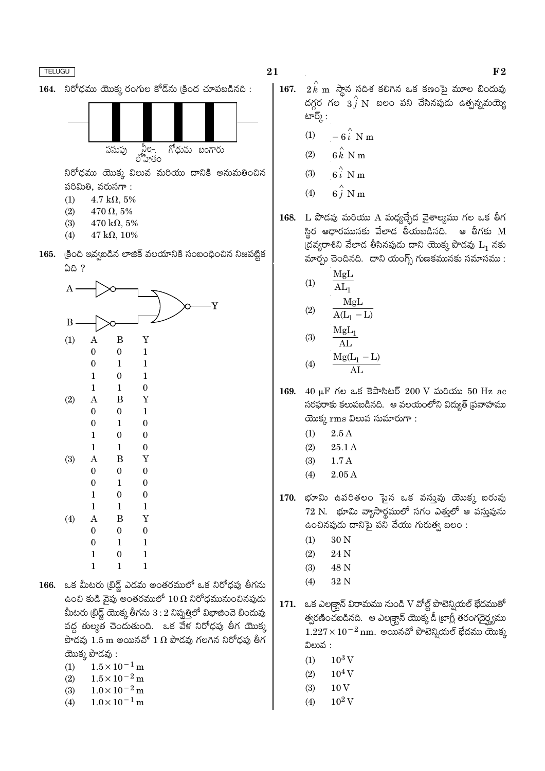



నిరోధము యొక్క విలువ మరియు దానికి అనుమతించిన పరిమితి, వరుసగా:

- $(1)$  $4.7 \text{ k}\Omega, 5\%$
- $(2)$  $470 \Omega, 5\%$
- $(3)$ 470 k $\Omega$ , 5%
- $(4)$  $47 \text{ k}\Omega, 10\%$
- 165. క్రింది ఇవ్వబడిన లాజిక్ వలయానికి సంబంధించిన నిజపట్టిక 58?

| A            |                  |                  | Y                |  |
|--------------|------------------|------------------|------------------|--|
| $\, {\bf B}$ |                  |                  |                  |  |
| (1)          | $\mathbf{A}$     | $\boldsymbol{B}$ | $\mathbf Y$      |  |
|              | $\boldsymbol{0}$ | $\boldsymbol{0}$ | $\mathbf{1}$     |  |
|              | $\boldsymbol{0}$ | $\mathbf{1}$     | $\mathbf{1}$     |  |
|              | $\mathbf{1}$     | $\boldsymbol{0}$ | $\mathbf{1}$     |  |
|              | $\mathbf{1}$     | $\mathbf{1}$     | $\boldsymbol{0}$ |  |
| (2)          | $\bf{A}$         | B                | $\mathbf Y$      |  |
|              | $\boldsymbol{0}$ | $\boldsymbol{0}$ | $\mathbf{1}$     |  |
|              | $\boldsymbol{0}$ | $\mathbf{1}$     | $\boldsymbol{0}$ |  |
|              | $\mathbf{1}$     | $\boldsymbol{0}$ | $\boldsymbol{0}$ |  |
|              | $\mathbf{1}$     | $\mathbf{1}$     | $\boldsymbol{0}$ |  |
| (3)          | $\mathbf{A}$     | $\boldsymbol{B}$ | Y                |  |
|              | $\boldsymbol{0}$ | $\boldsymbol{0}$ | $\boldsymbol{0}$ |  |
|              | $\boldsymbol{0}$ | $\mathbf{1}$     | $\boldsymbol{0}$ |  |
|              | $\mathbf{1}$     | $\boldsymbol{0}$ | $\boldsymbol{0}$ |  |
|              | $\mathbf{1}$     | $\mathbf{1}$     | $\mathbf{1}$     |  |
| (4)          | $\boldsymbol{A}$ | B                | $\mathbf Y$      |  |
|              | $\boldsymbol{0}$ | $\boldsymbol{0}$ | $\boldsymbol{0}$ |  |
|              | $\boldsymbol{0}$ | $\mathbf{1}$     | $\mathbf{1}$     |  |
|              | $\mathbf{1}$     | $\boldsymbol{0}$ | $\mathbf{1}$     |  |
|              | $\mathbf{1}$     | $\mathbf{1}$     | $\mathbf{1}$     |  |

166. ఒక మీటరు (బిడ్ట్ ఎడమ అంతరములో ఒక నిరోధపు తీగను ఉంచి కుడి వైపు అంతరములో  $10\,\Omega$  నిరోధమునుంచినపుడు మీటరు (బిడ్జ్ యొక్క తీగను  $3:2$  నిష్పత్తిలో విభాజించె బిందువు వద్ద తుల్యత చెందుతుంది. ఒక వేళ నిరోధపు తీగ యొక్క పొడవు  $1.5$  m అయినచో  $1 \Omega$  పొడవు గలగిన నిరోధపు తీగ యొక్క పొడవు:

- $1.5 \times 10^{-1}$  m  $(1)$
- $(2)$  $1.5 \times 10^{-2}$  m
- $1.0 \times 10^{-2}$  m  $(3)$
- $1.0 \times 10^{-1}$  m  $(4)$
- 21
	- $167.$   $2 \overline{k}$  m స్తాన సదిశ కలిగిన ఒక కణంపై మూల బిందువు దగ్గర గల<sup>ు $3\hat{j}$  N బలం పని చేసినపుడు ఉత్పన్నమయ్యె</sup> టార్⁄ు :
		- $-6i$  N m  $(1)$
		- $6k$  N m  $(2)$
		- $6i$  N m  $(3)$
		- $6\hat{j}$  N m  $(4)$
	- 168. L పొడవు మరియు A మధ్యచ్చేద వైశాల్యము గల ఒక తీగ స్థిర ఆధారమునకు వేలాడ తీయబడినది. ఆ తీగకు  $\boldsymbol{\mathrm{M}}$ (దవ్యరాశిని వేలాడ తీసినపుడు దాని యొక్క పొడవు  $L_1$  నకు మార్చు చెందినది. దాని యంగ్స్ గుణకమునకు సమాసము:
		- MgL  $(1)$  $AL_1$  $\mathbf{A}$   $\mathbf{A}$

$$
(2) \qquad \frac{MgL}{A(L_1 - L)}
$$

$$
(3) \quad \frac{\text{mgl}_1}{\text{AL}}
$$

$$
(4) \qquad \frac{\text{Mg}(L_1 - L)}{\text{AL}}
$$

- 169.  $40 \mu$ F Κυ a Ξαλδεύδ 200 V ώθο 50 Hz ac సరఫరాకు కలుపబడినది. ఆ వలయంలోని విద్యుత్ (పవాహము యొక్క rms విలువ సుమారుగా:
	- $2.5A$  $(1)$
	- $(2)$  $25.1A$
	- $1.7A$  $(3)$
	- $(4)$  $2.05A$
- 170. భూమి ఉపరితలం ఫైన ఒక వస్తువు యొక్క బరువు 72 N. భూమి వ్యాసార్ధములో సగం ఎత్తులో ఆ వస్తువును ఉంచినపుడు దానిపై పని చేయు గురుత్వ బలం :
	- $(1)$ 30 N
	- 24 N  $(2)$
	- $(3)$ 48 N
	- 32 N  $(4)$
- 171. ఒక ఎలక్టాన్ విరామము నుండి V వోల్ట్ పొటెన్నియల్ భేదముతో త్వరణించబడినది. ఆ ఎలక్ట్రాన్ యొక్క డీ ట్రాగ్లీ తరంగదైర్ఘ్యము  $1.227 \times 10^{-2}$  nm. అయినచో పొటెన్నియల్ భేదము యొక్క విలువ :
	- $10^3$  V  $(1)$
	- $10^4$  V  $(2)$
	- $10V$  $(3)$
	- $10^2$  V  $(4)$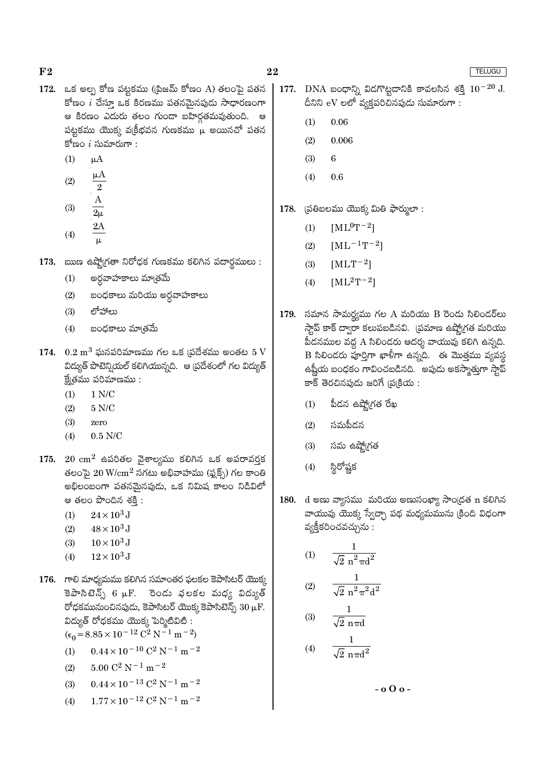- 172. ఒక అల్ప కోణ పట్టకము ((పిజమ్ కోణం A) తలంపై పతన కోణం  $i$  చేస్తూ ఒక కిరణము పతనమైనపుడు సాధారణంగా ఆ కిరణం ఎదురు తలం గుండా బహిర్గతమవుతుంది. ఆ పట్టకము యొక్క వ(కీభవన గుణకము  $\overset{\leftrightarrow}{\mu}$  అయినచో పతన కోణం  $i$  సుమారుగా :
	- $\mu A$  $(1)$
	- $\mu A$  $(2)$  $\overline{2}$

$$
(3) \qquad \frac{A}{2}
$$

- $2\mu$  $2A$
- $(4)$  $\mu$
- 173. ఋణ ఉష్మోగ్రతా నిరోధక గుణకము కలిగిన పదార్థములు :
	- అర్ధవాహకాలు మాత్రమే  $(1)$
	- బంధకాలు మరియు అర్ధవాహకాలు  $(2)$
	- $(3)$ లోహాలు
	- బంధకాలు మాౖతమే  $(4)$
- 174.  $0.2 \text{ m}^3$  ఘనపరిమాణము గల ఒక (పదేశము అంతట  $5 \text{ V}$ విద్యుత్ పొటెన్నియల్ కలిగియున్నది. ఆ (పదేశంలో గల విద్యుత్  $\vec{E}$ త్రము పరిమాణము:
	- $(1)$  $1 N/C$
	- $(2)$  $5 N/C$
	- $(3)$ zero
	- $(4)$  $0.5$  N/C
- 175.  $20 \text{ cm}^2$  ఉపరితల వైశాల్యము కలిగిన ఒక అపరావర్తక తలంపై  $20\ \rm{W/cm^2}$  సగటు అభివాహము (ఫ్లక్స్) గల కాంతి అభిలంబంగా పతనమైనపుడు, ఒక నిమిష కాలం నిడివిలో ఆ తలం పొందిన శకి:
	- $(1)$  $24 \times 10^3$  J
	- $(2)$  $48 \times 10^3$  J
	- $10 \times 10^3$  J  $(3)$
	- $(4)$  $12\times10^3$  J
- 176. గాలి మాధ్యమము కలిగిన సమాంతర ఫలకల కెపాసిటర్ యొక్క కెపాసిటెన్స్ 6  $\mu$ F. రెండు వలకల మధ్య విద్యుత్ రోధకమునుంచినపుడు, కెపాసిటర్ యొక్క కెపాసిటెన్స్  $30 \mu$ F. విద్యుత్ రోధకము యొక్క పెర్మిటీవిటి :  $\epsilon_0 = 8.85 \times 10^{-12} \text{ C}^2 \text{ N}^{-1} \text{ m}^{-2}$ 
	- $0.44 \times 10^{-10}$  C<sup>2</sup> N<sup>-1</sup> m<sup>-2</sup>  $(1)$
	- $5.00 C^2 N^{-1} m^{-2}$  $(2)$
	- $0.44 \times 10^{-13}$  C<sup>2</sup> N<sup>-1</sup> m<sup>-2</sup>  $(3)$
	- $1.77 \times 10^{-12}$  C<sup>2</sup> N<sup>-1</sup> m<sup>-2</sup>  $(4)$
- 177. DNA బంధాన్ని విదగొట్టడానికి కావలసిన శక్తి  $10^{-20}$  J. దీనిని eV లలో వ్యక్తపరిచినపుడు సుమారుగా:
	- 0.06  $(1)$

22

- $(2)$ 0.006
- $(3)$ 6
- $(4)$ 0.6
- (పతిబలము యొక్క మితి ఫార్ములా: 178.
	- $[ML^0T^{-2}]$  $(1)$
	- $[ML^{-1}T^{-2}]$  $(2)$
	- $(3)$  $[MLT^{-2}]$
	- $[ML^2T^{-2}]$  $(4)$
- 179. సమాన సామర్థ్యము గల A మరియు B రెండు సిలిండర్**లు** స్తాప్ కాక్ ద్వారా కలుపబడినవి. (పమాణ ఉష్మోగ్రత మరియు పీడనముల వద్ద A సిలిండరు ఆదర్శ వాయువు కలిగి ఉన్నది.  $\overline{\mathrm{B}}$  సిలిండరు పూర్తిగా ఖాళీగా ఉన్నది. ఈ మొత్తము వ్యవస్థ ఉష్ణీయ బంధకం గావించబడినది. అపుడు అకస్మాత్తుగా స్తాప్ కాక్ తెరచినపుడు జరిగే (ప్రక్రియ :
	- పీదన ఉష్మో(గత రేఖ  $(1)$
	- $(2)$ సమపీదన
	- $(3)$ సమ ఉష్మో(గత
	- స్థిరోష్ణక  $(4)$
- d అణు వ్యాసము మరియు అణుసంఖ్యా సాంద్రత n కలిగిన 180. వాయువు యొక్క స్వేచ్చా పథ మధ్యమమును (కింది విధంగా వ్యక్తీకరించవచ్చును :

$$
(1) \qquad \frac{1}{\sqrt{2} \pi^2 \pi d^2}
$$

(2) 
$$
\frac{1}{\sqrt{2} n^2 \pi^2 d^2}
$$

 $\mathbf{1}$ 

(3) 
$$
\frac{1}{\sqrt{2} \text{ n} \pi d}
$$
  
(4)  $\frac{1}{\sqrt{2} \text{ n} \pi d^2}$ 

 $-$  0  $\Omega$  o -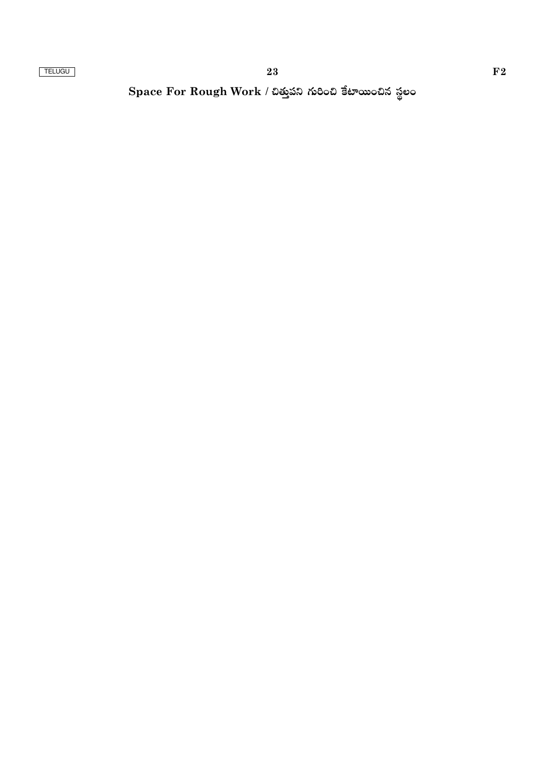Space For Rough Work / చిత్తుపని గురించి కేటాయించిన స్థలం